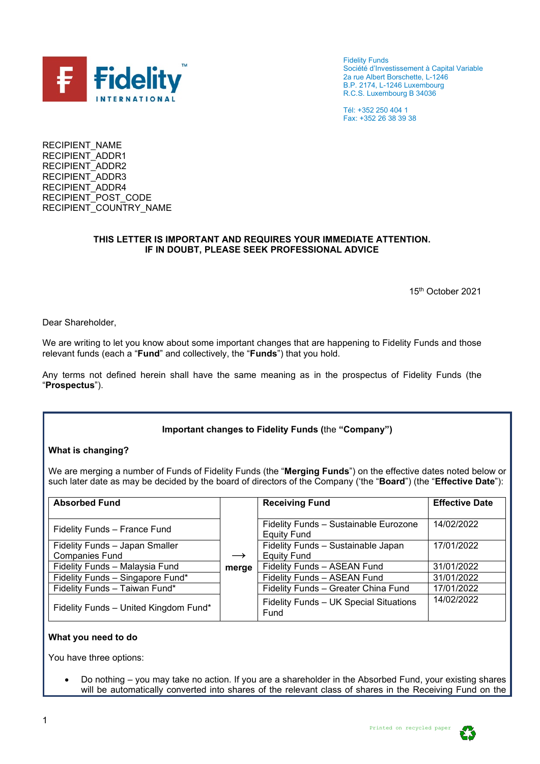

Fidelity Funds Société d'Investissement à Capital Variable 2a rue Albert Borschette, L-1246 B.P. 2174, L-1246 Luxembourg R.C.S. Luxembourg B 34036

Tél: +352 250 404 1 Fax: +352 26 38 39 38

RECIPIENT\_NAME RECIPIENT\_ADDR1 RECIPIENT\_ADDR2 RECIPIENT\_ADDR3 RECIPIENT\_ADDR4 RECIPIENT<sup>POST</sup> CODE RECIPIENT\_COUNTRY\_NAME

### **THIS LETTER IS IMPORTANT AND REQUIRES YOUR IMMEDIATE ATTENTION. IF IN DOUBT, PLEASE SEEK PROFESSIONAL ADVICE**

15th October 2021

Dear Shareholder,

We are writing to let you know about some important changes that are happening to Fidelity Funds and those relevant funds (each a "**Fund**" and collectively, the "**Funds**") that you hold.

Any terms not defined herein shall have the same meaning as in the prospectus of Fidelity Funds (the "**Prospectus**").

#### **Important changes to Fidelity Funds (**the **"Company")**

#### **What is changing?**

We are merging a number of Funds of Fidelity Funds (the "**Merging Funds**") on the effective dates noted below or such later date as may be decided by the board of directors of the Company ('the "**Board**") (the "**Effective Date**"):

| <b>Absorbed Fund</b>                  |               | <b>Receiving Fund</b>                                | <b>Effective Date</b> |
|---------------------------------------|---------------|------------------------------------------------------|-----------------------|
|                                       |               |                                                      |                       |
| Fidelity Funds - France Fund          |               | Fidelity Funds - Sustainable Eurozone<br>Equity Fund | 14/02/2022            |
| Fidelity Funds - Japan Smaller        |               | Fidelity Funds - Sustainable Japan                   | 17/01/2022            |
| <b>Companies Fund</b>                 | $\rightarrow$ | Equity Fund                                          |                       |
| Fidelity Funds - Malaysia Fund        | merge         | Fidelity Funds - ASEAN Fund                          | 31/01/2022            |
| Fidelity Funds - Singapore Fund*      |               | Fidelity Funds - ASEAN Fund                          | 31/01/2022            |
| Fidelity Funds - Taiwan Fund*         |               | Fidelity Funds - Greater China Fund                  | 17/01/2022            |
| Fidelity Funds - United Kingdom Fund* |               | Fidelity Funds - UK Special Situations<br>Fund       | 14/02/2022            |

#### **What you need to do**

You have three options:

• Do nothing – you may take no action. If you are a shareholder in the Absorbed Fund, your existing shares will be automatically converted into shares of the relevant class of shares in the Receiving Fund on the

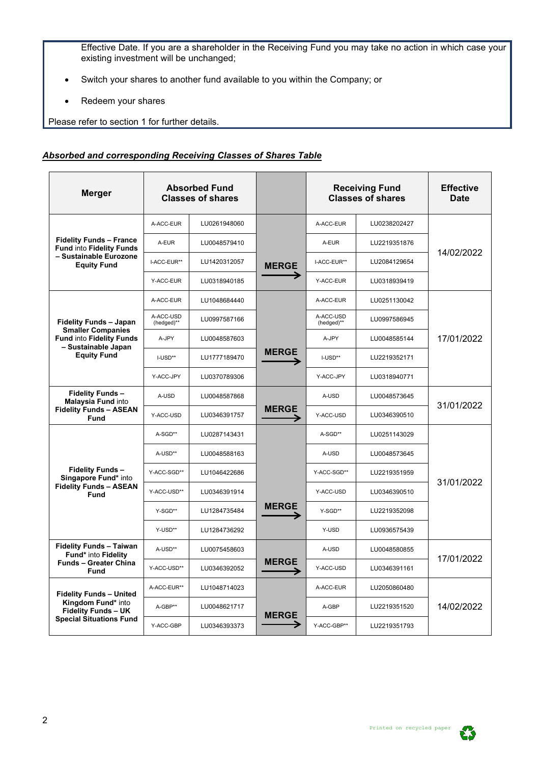Effective Date. If you are a shareholder in the Receiving Fund you may take no action in which case your existing investment will be unchanged;

- Switch your shares to another fund available to you within the Company; or
- Redeem your shares

Please refer to section 1 for further details.

#### *Absorbed and corresponding Receiving Classes of Shares Table*

| <b>Merger</b>                                                                                                        |                         | <b>Absorbed Fund</b><br><b>Classes of shares</b> |              |                         | <b>Receiving Fund</b><br><b>Classes of shares</b> | <b>Effective</b><br><b>Date</b> |  |
|----------------------------------------------------------------------------------------------------------------------|-------------------------|--------------------------------------------------|--------------|-------------------------|---------------------------------------------------|---------------------------------|--|
|                                                                                                                      | A-ACC-EUR               | LU0261948060                                     |              | A-ACC-EUR               | LU0238202427                                      |                                 |  |
| <b>Fidelity Funds - France</b><br><b>Fund into Fidelity Funds</b>                                                    | A-EUR                   | LU0048579410                                     |              | A-EUR                   | LU2219351876                                      |                                 |  |
| - Sustainable Eurozone<br><b>Equity Fund</b>                                                                         | I-ACC-EUR**             | LU1420312057                                     | <b>MERGE</b> | I-ACC-EUR**             | LU2084129654                                      | 14/02/2022                      |  |
|                                                                                                                      | Y-ACC-EUR               | LU0318940185                                     |              | Y-ACC-EUR               | LU0318939419                                      |                                 |  |
|                                                                                                                      | A-ACC-EUR               | LU1048684440                                     |              | A-ACC-EUR               | LU0251130042                                      |                                 |  |
| <b>Fidelity Funds - Japan</b>                                                                                        | A-ACC-USD<br>(hedged)** | LU0997587166                                     |              | A-ACC-USD<br>(hedged)** | LU0997586945                                      |                                 |  |
| <b>Smaller Companies</b><br><b>Fund into Fidelity Funds</b>                                                          | A-JPY                   | LU0048587603                                     |              | A-JPY                   | LU0048585144                                      | 17/01/2022                      |  |
| - Sustainable Japan<br><b>Equity Fund</b>                                                                            | I-USD**                 | LU1777189470                                     | <b>MERGE</b> | I-USD**                 | LU2219352171                                      |                                 |  |
|                                                                                                                      | Y-ACC-JPY               | LU0370789306                                     |              | Y-ACC-JPY               | LU0318940771                                      |                                 |  |
| <b>Fidelity Funds-</b><br><b>Malaysia Fund into</b>                                                                  | A-USD                   | LU0048587868                                     |              | A-USD                   | LU0048573645                                      |                                 |  |
| <b>Fidelity Funds - ASEAN</b><br>Fund                                                                                | Y-ACC-USD               | LU0346391757                                     | <b>MERGE</b> | Y-ACC-USD               | LU0346390510                                      | 31/01/2022                      |  |
|                                                                                                                      | A-SGD**                 | LU0287143431                                     |              | A-SGD**                 | LU0251143029                                      |                                 |  |
|                                                                                                                      | A-USD**                 | LU0048588163                                     |              | A-USD                   | LU0048573645                                      |                                 |  |
| <b>Fidelity Funds-</b><br>Singapore Fund* into                                                                       | Y-ACC-SGD**             | LU1046422686                                     |              | Y-ACC-SGD**             | LU2219351959                                      |                                 |  |
| <b>Fidelity Funds - ASEAN</b><br><b>Fund</b>                                                                         | Y-ACC-USD**             | LU0346391914                                     |              | Y-ACC-USD               | LU0346390510                                      | 31/01/2022                      |  |
|                                                                                                                      | Y-SGD**                 | LU1284735484                                     | <b>MERGE</b> | Y-SGD**                 | LU2219352098                                      |                                 |  |
|                                                                                                                      | Y-USD**                 | LU1284736292                                     |              | Y-USD                   | LU0936575439                                      |                                 |  |
| <b>Fidelity Funds - Taiwan</b><br>Fund* into Fidelity                                                                | A-USD**                 | LU0075458603                                     |              | A-USD                   | LU0048580855                                      |                                 |  |
| <b>Funds - Greater China</b><br><b>Fund</b>                                                                          | Y-ACC-USD**             | LU0346392052                                     | <b>MERGE</b> | Y-ACC-USD               | LU0346391161                                      | 17/01/2022                      |  |
| <b>Fidelity Funds - United</b><br>Kingdom Fund* into<br><b>Fidelity Funds - UK</b><br><b>Special Situations Fund</b> | A-ACC-EUR**             | LU1048714023                                     |              | A-ACC-EUR               | LU2050860480                                      |                                 |  |
|                                                                                                                      | A-GBP**                 | LU0048621717                                     | <b>MERGE</b> | A-GBP                   | LU2219351520                                      | 14/02/2022                      |  |
|                                                                                                                      | Y-ACC-GBP               | LU0346393373                                     |              | Y-ACC-GBP**             | LU2219351793                                      |                                 |  |

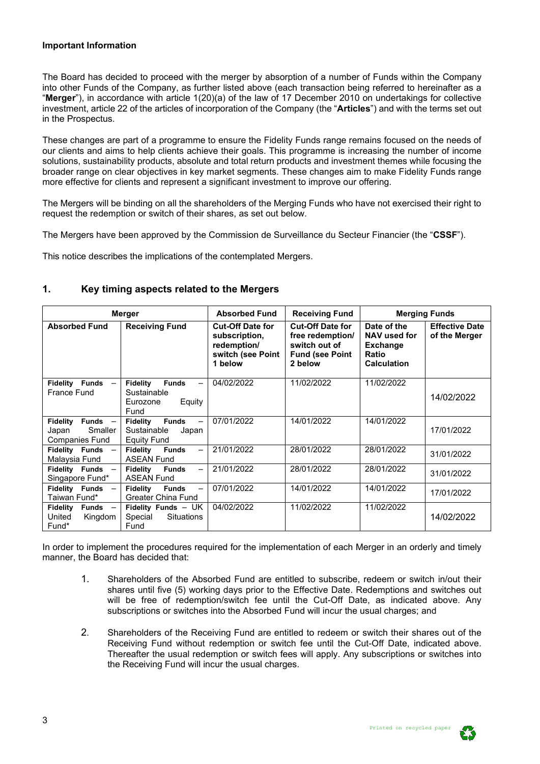#### **Important Information**

The Board has decided to proceed with the merger by absorption of a number of Funds within the Company into other Funds of the Company, as further listed above (each transaction being referred to hereinafter as a "**Merger**"), in accordance with article 1(20)(a) of the law of 17 December 2010 on undertakings for collective investment, article 22 of the articles of incorporation of the Company (the "**Articles**") and with the terms set out in the Prospectus.

These changes are part of a programme to ensure the Fidelity Funds range remains focused on the needs of our clients and aims to help clients achieve their goals. This programme is increasing the number of income solutions, sustainability products, absolute and total return products and investment themes while focusing the broader range on clear objectives in key market segments. These changes aim to make Fidelity Funds range more effective for clients and represent a significant investment to improve our offering.

The Mergers will be binding on all the shareholders of the Merging Funds who have not exercised their right to request the redemption or switch of their shares, as set out below.

The Mergers have been approved by the Commission de Surveillance du Secteur Financier (the "**CSSF**").

This notice describes the implications of the contemplated Mergers.

|                                                                           | <b>Merger</b>                                                                                             | <b>Absorbed Fund</b>                                                                    | <b>Receiving Fund</b> | <b>Merging Funds</b>                                                                 |                                        |  |  |
|---------------------------------------------------------------------------|-----------------------------------------------------------------------------------------------------------|-----------------------------------------------------------------------------------------|-----------------------|--------------------------------------------------------------------------------------|----------------------------------------|--|--|
| <b>Absorbed Fund</b>                                                      | <b>Receiving Fund</b>                                                                                     | <b>Cut-Off Date for</b><br>subscription,<br>redemption/<br>switch (see Point<br>1 below |                       | Date of the<br>NAV used for<br><b>Exchange</b><br><b>Ratio</b><br><b>Calculation</b> | <b>Effective Date</b><br>of the Merger |  |  |
| Fidelity Funds -<br><b>France Fund</b>                                    | <b>Funds</b><br><b>Fidelity</b><br>Sustainable<br>Equity<br>Eurozone<br>Fund                              | 04/02/2022                                                                              | 11/02/2022            | 11/02/2022                                                                           | 14/02/2022                             |  |  |
| <b>Fidelity</b><br>Funds $-$<br>Smaller<br>Japan<br><b>Companies Fund</b> | <b>Funds</b><br><b>Fidelity</b><br>$\overline{\phantom{0}}$<br>Sustainable<br>Japan<br><b>Equity Fund</b> | 07/01/2022                                                                              | 14/01/2022            | 14/01/2022                                                                           | 17/01/2022                             |  |  |
| Fidelity Funds -<br>Malaysia Fund                                         | <b>Fidelity</b><br><b>Funds</b><br><b>ASEAN Fund</b>                                                      | 21/01/2022                                                                              | 28/01/2022            | 28/01/2022                                                                           | 31/01/2022                             |  |  |
| Fidelity Funds -<br>Singapore Fund*                                       | <b>Funds</b><br>Fidelity<br>$\overline{\phantom{0}}$<br><b>ASEAN Fund</b>                                 | 21/01/2022                                                                              | 28/01/2022            | 28/01/2022                                                                           | 31/01/2022                             |  |  |
| Fidelity Funds -<br>Taiwan Fund*                                          | <b>Fidelity</b><br><b>Funds</b><br>$\overline{\phantom{0}}$<br><b>Greater China Fund</b>                  | 07/01/2022                                                                              | 14/01/2022            | 14/01/2022                                                                           | 17/01/2022                             |  |  |
| Funds $-$<br>Fidelity<br>United<br>Kingdom<br>Fund <sup>*</sup>           | Fidelity Funds $-$ UK<br>Special<br><b>Situations</b><br>Fund                                             | 04/02/2022                                                                              | 11/02/2022            | 11/02/2022                                                                           | 14/02/2022                             |  |  |

#### **1. Key timing aspects related to the Mergers**

In order to implement the procedures required for the implementation of each Merger in an orderly and timely manner, the Board has decided that:

- 1. Shareholders of the Absorbed Fund are entitled to subscribe, redeem or switch in/out their shares until five (5) working days prior to the Effective Date. Redemptions and switches out will be free of redemption/switch fee until the Cut-Off Date, as indicated above. Any subscriptions or switches into the Absorbed Fund will incur the usual charges; and
- 2. Shareholders of the Receiving Fund are entitled to redeem or switch their shares out of the Receiving Fund without redemption or switch fee until the Cut-Off Date, indicated above. Thereafter the usual redemption or switch fees will apply. Any subscriptions or switches into the Receiving Fund will incur the usual charges.

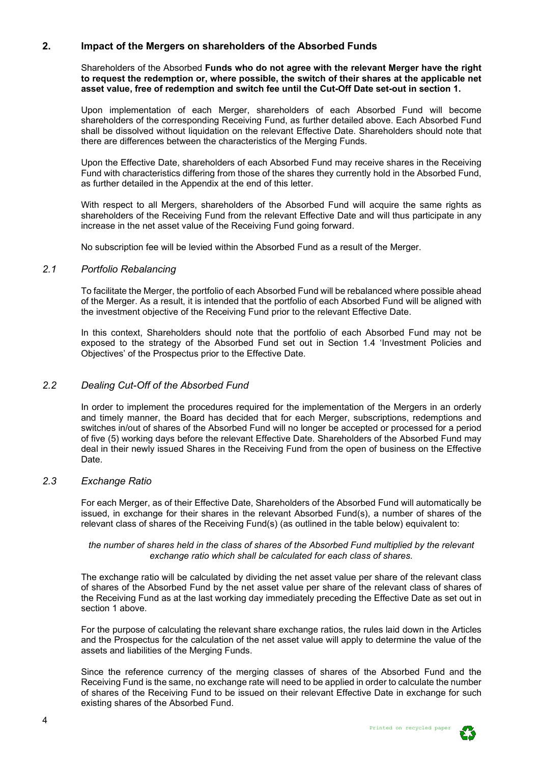#### **2. Impact of the Mergers on shareholders of the Absorbed Funds**

Shareholders of the Absorbed **Funds who do not agree with the relevant Merger have the right to request the redemption or, where possible, the switch of their shares at the applicable net asset value, free of redemption and switch fee until the Cut-Off Date set-out in section 1.**

Upon implementation of each Merger, shareholders of each Absorbed Fund will become shareholders of the corresponding Receiving Fund, as further detailed above. Each Absorbed Fund shall be dissolved without liquidation on the relevant Effective Date. Shareholders should note that there are differences between the characteristics of the Merging Funds.

Upon the Effective Date, shareholders of each Absorbed Fund may receive shares in the Receiving Fund with characteristics differing from those of the shares they currently hold in the Absorbed Fund, as further detailed in the Appendix at the end of this letter.

With respect to all Mergers, shareholders of the Absorbed Fund will acquire the same rights as shareholders of the Receiving Fund from the relevant Effective Date and will thus participate in any increase in the net asset value of the Receiving Fund going forward.

No subscription fee will be levied within the Absorbed Fund as a result of the Merger.

#### *2.1 Portfolio Rebalancing*

To facilitate the Merger, the portfolio of each Absorbed Fund will be rebalanced where possible ahead of the Merger. As a result, it is intended that the portfolio of each Absorbed Fund will be aligned with the investment objective of the Receiving Fund prior to the relevant Effective Date.

In this context, Shareholders should note that the portfolio of each Absorbed Fund may not be exposed to the strategy of the Absorbed Fund set out in Section 1.4 'Investment Policies and Objectives' of the Prospectus prior to the Effective Date.

#### *2.2 Dealing Cut-Off of the Absorbed Fund*

In order to implement the procedures required for the implementation of the Mergers in an orderly and timely manner, the Board has decided that for each Merger, subscriptions, redemptions and switches in/out of shares of the Absorbed Fund will no longer be accepted or processed for a period of five (5) working days before the relevant Effective Date. Shareholders of the Absorbed Fund may deal in their newly issued Shares in the Receiving Fund from the open of business on the Effective Date.

#### *2.3 Exchange Ratio*

For each Merger, as of their Effective Date, Shareholders of the Absorbed Fund will automatically be issued, in exchange for their shares in the relevant Absorbed Fund(s), a number of shares of the relevant class of shares of the Receiving Fund(s) (as outlined in the table below) equivalent to:

*the number of shares held in the class of shares of the Absorbed Fund multiplied by the relevant exchange ratio which shall be calculated for each class of shares.*

The exchange ratio will be calculated by dividing the net asset value per share of the relevant class of shares of the Absorbed Fund by the net asset value per share of the relevant class of shares of the Receiving Fund as at the last working day immediately preceding the Effective Date as set out in section 1 above.

For the purpose of calculating the relevant share exchange ratios, the rules laid down in the Articles and the Prospectus for the calculation of the net asset value will apply to determine the value of the assets and liabilities of the Merging Funds.

Since the reference currency of the merging classes of shares of the Absorbed Fund and the Receiving Fund is the same, no exchange rate will need to be applied in order to calculate the number of shares of the Receiving Fund to be issued on their relevant Effective Date in exchange for such existing shares of the Absorbed Fund.

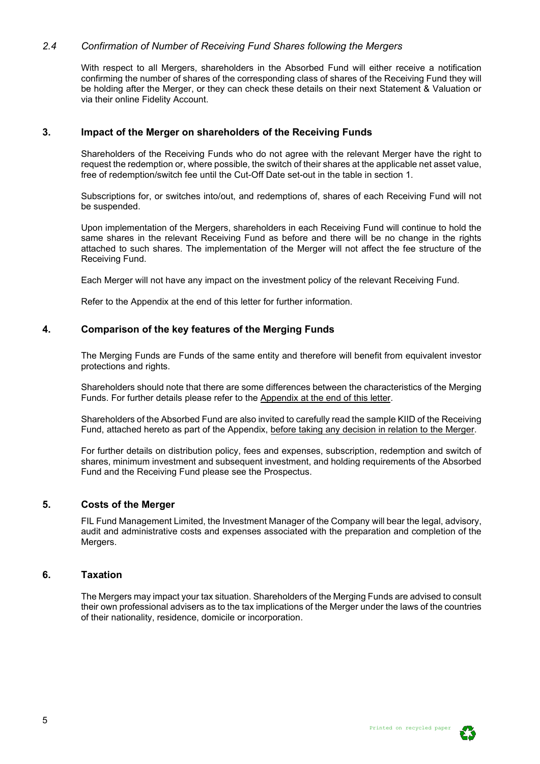#### *2.4 Confirmation of Number of Receiving Fund Shares following the Mergers*

With respect to all Mergers, shareholders in the Absorbed Fund will either receive a notification confirming the number of shares of the corresponding class of shares of the Receiving Fund they will be holding after the Merger, or they can check these details on their next Statement & Valuation or via their online Fidelity Account.

#### **3. Impact of the Merger on shareholders of the Receiving Funds**

Shareholders of the Receiving Funds who do not agree with the relevant Merger have the right to request the redemption or, where possible, the switch of their shares at the applicable net asset value, free of redemption/switch fee until the Cut-Off Date set-out in the table in section 1.

Subscriptions for, or switches into/out, and redemptions of, shares of each Receiving Fund will not be suspended.

Upon implementation of the Mergers, shareholders in each Receiving Fund will continue to hold the same shares in the relevant Receiving Fund as before and there will be no change in the rights attached to such shares. The implementation of the Merger will not affect the fee structure of the Receiving Fund.

Each Merger will not have any impact on the investment policy of the relevant Receiving Fund.

Refer to the Appendix at the end of this letter for further information.

#### **4. Comparison of the key features of the Merging Funds**

The Merging Funds are Funds of the same entity and therefore will benefit from equivalent investor protections and rights.

Shareholders should note that there are some differences between the characteristics of the Merging Funds. For further details please refer to the Appendix at the end of this letter.

Shareholders of the Absorbed Fund are also invited to carefully read the sample KIID of the Receiving Fund, attached hereto as part of the Appendix, before taking any decision in relation to the Merger.

For further details on distribution policy, fees and expenses, subscription, redemption and switch of shares, minimum investment and subsequent investment, and holding requirements of the Absorbed Fund and the Receiving Fund please see the Prospectus.

#### **5. Costs of the Merger**

FIL Fund Management Limited, the Investment Manager of the Company will bear the legal, advisory, audit and administrative costs and expenses associated with the preparation and completion of the Mergers.

## **6. Taxation**

The Mergers may impact your tax situation. Shareholders of the Merging Funds are advised to consult their own professional advisers as to the tax implications of the Merger under the laws of the countries of their nationality, residence, domicile or incorporation.

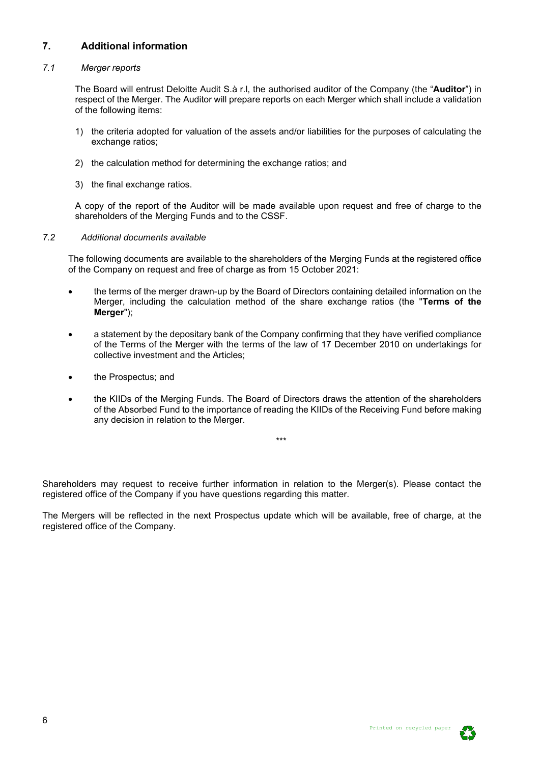# **7. Additional information**

#### *7.1 Merger reports*

The Board will entrust Deloitte Audit S.à r.l, the authorised auditor of the Company (the "**Auditor**") in respect of the Merger. The Auditor will prepare reports on each Merger which shall include a validation of the following items:

- 1) the criteria adopted for valuation of the assets and/or liabilities for the purposes of calculating the exchange ratios;
- 2) the calculation method for determining the exchange ratios; and
- 3) the final exchange ratios.

A copy of the report of the Auditor will be made available upon request and free of charge to the shareholders of the Merging Funds and to the CSSF.

#### *7.2 Additional documents available*

The following documents are available to the shareholders of the Merging Funds at the registered office of the Company on request and free of charge as from 15 October 2021:

- the terms of the merger drawn-up by the Board of Directors containing detailed information on the Merger, including the calculation method of the share exchange ratios (the "**Terms of the Merger**");
- a statement by the depositary bank of the Company confirming that they have verified compliance of the Terms of the Merger with the terms of the law of 17 December 2010 on undertakings for collective investment and the Articles;
- the Prospectus; and
- the KIIDs of the Merging Funds. The Board of Directors draws the attention of the shareholders of the Absorbed Fund to the importance of reading the KIIDs of the Receiving Fund before making any decision in relation to the Merger.

\*\*\*

Shareholders may request to receive further information in relation to the Merger(s). Please contact the registered office of the Company if you have questions regarding this matter.

The Mergers will be reflected in the next Prospectus update which will be available, free of charge, at the registered office of the Company.

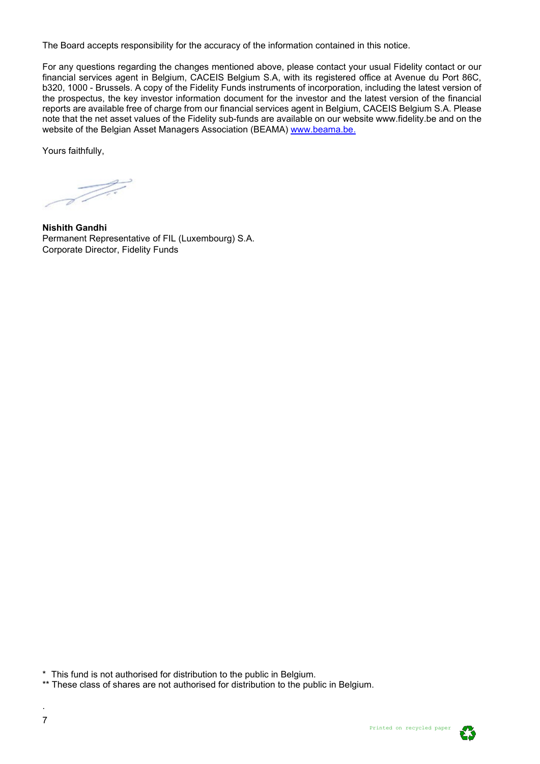The Board accepts responsibility for the accuracy of the information contained in this notice.

For any questions regarding the changes mentioned above, please contact your usual Fidelity contact or our financial services agent in Belgium, CACEIS Belgium S.A, with its registered office at Avenue du Port 86C, b320, 1000 - Brussels. A copy of the Fidelity Funds instruments of incorporation, including the latest version of the prospectus, the key investor information document for the investor and the latest version of the financial reports are available free of charge from our financial services agent in Belgium, CACEIS Belgium S.A. Please note that the net asset values of the Fidelity sub-funds are available on our website www.fidelity.be and on the website of the Belgian Asset Managers Association (BEAMA) [www.beama.be.](http://www.beama.be/)

Yours faithfully.

T ..

**Nishith Gandhi** Permanent Representative of FIL (Luxembourg) S.A. Corporate Director, Fidelity Funds

\* This fund is not authorised for distribution to the public in Belgium.

\*\* These class of shares are not authorised for distribution to the public in Belgium.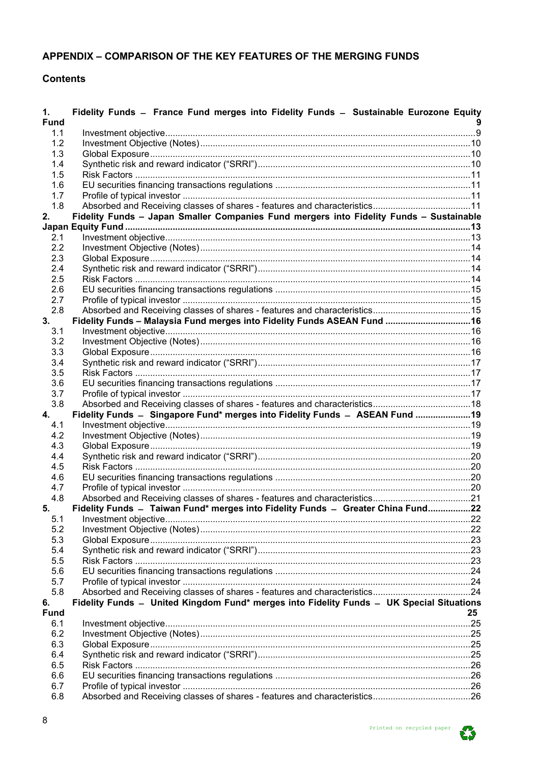# APPENDIX - COMPARISON OF THE KEY FEATURES OF THE MERGING FUNDS

# **Contents**

| 1.<br><b>Fund</b> | Fidelity Funds - France Fund merges into Fidelity Funds - Sustainable Eurozone Equity    |    |
|-------------------|------------------------------------------------------------------------------------------|----|
| 1.1               |                                                                                          |    |
| 1.2               |                                                                                          |    |
| 1.3               |                                                                                          |    |
| 1.4               |                                                                                          |    |
| 1.5               |                                                                                          |    |
| 1.6               |                                                                                          |    |
| 1.7               |                                                                                          |    |
| 1.8               |                                                                                          |    |
| 2.                | Fidelity Funds - Japan Smaller Companies Fund mergers into Fidelity Funds - Sustainable  |    |
|                   |                                                                                          |    |
| 2.1               |                                                                                          |    |
| 2.2               |                                                                                          |    |
| 2.3               |                                                                                          |    |
| 2.4               |                                                                                          |    |
| 2.5               |                                                                                          |    |
|                   |                                                                                          |    |
| 2.6               |                                                                                          |    |
| 2.7               |                                                                                          |    |
| 2.8               |                                                                                          |    |
| 3.                | Fidelity Funds - Malaysia Fund merges into Fidelity Funds ASEAN Fund  16                 |    |
| 3.1               |                                                                                          |    |
| 3.2               |                                                                                          |    |
| 3.3               |                                                                                          |    |
| 3.4               |                                                                                          |    |
| 3.5               |                                                                                          |    |
| 3.6               |                                                                                          |    |
| 3.7               |                                                                                          |    |
| 3.8               |                                                                                          |    |
| 4.                | Fidelity Funds - Singapore Fund* merges into Fidelity Funds - ASEAN Fund  19             |    |
| 4.1               |                                                                                          |    |
| 4.2               |                                                                                          |    |
| 4.3               |                                                                                          |    |
| 4.4               |                                                                                          |    |
| 4.5               |                                                                                          |    |
| 4.6               |                                                                                          |    |
| 4.7               |                                                                                          |    |
| 4.8               |                                                                                          |    |
| 5.                | Fidelity Funds - Taiwan Fund* merges into Fidelity Funds - Greater China Fund22          |    |
| 5.1               |                                                                                          |    |
| 5.2               |                                                                                          |    |
| 5.3               |                                                                                          |    |
| 5.4               |                                                                                          |    |
| 5.5               |                                                                                          |    |
| 5.6               |                                                                                          |    |
| 5.7               |                                                                                          |    |
| 5.8               |                                                                                          |    |
| 6.                | Fidelity Funds - United Kingdom Fund* merges into Fidelity Funds - UK Special Situations |    |
| <b>Fund</b>       |                                                                                          | 25 |
| 6.1               |                                                                                          |    |
| 6.2               |                                                                                          |    |
| 6.3               |                                                                                          |    |
| 6.4               |                                                                                          |    |
| 6.5               |                                                                                          |    |
| 6.6               |                                                                                          |    |
| 6.7               |                                                                                          |    |
| 6.8               |                                                                                          |    |
|                   |                                                                                          |    |

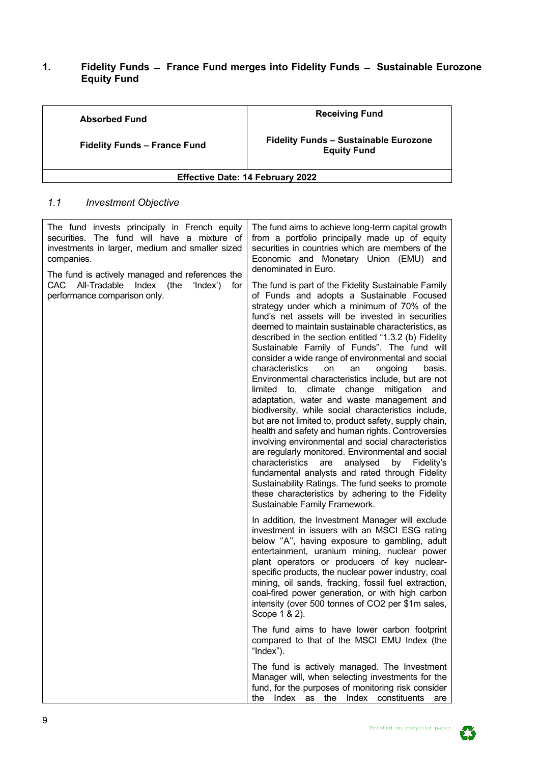## <span id="page-8-0"></span>**1. Fidelity Funds ̶ France Fund merges into Fidelity Funds ̶ Sustainable Eurozone Equity Fund**

| <b>Absorbed Fund</b>                    | <b>Receiving Fund</b>                                              |  |  |  |  |  |  |
|-----------------------------------------|--------------------------------------------------------------------|--|--|--|--|--|--|
| <b>Fidelity Funds - France Fund</b>     | <b>Fidelity Funds - Sustainable Eurozone</b><br><b>Equity Fund</b> |  |  |  |  |  |  |
| <b>Effective Date: 14 February 2022</b> |                                                                    |  |  |  |  |  |  |

# <span id="page-8-1"></span>*1.1 Investment Objective*

| The fund invests principally in French equity<br>securities. The fund will have a mixture of<br>investments in larger, medium and smaller sized<br>companies.<br>The fund is actively managed and references the | The fund aims to achieve long-term capital growth<br>from a portfolio principally made up of equity<br>securities in countries which are members of the<br>Economic and Monetary Union (EMU) and<br>denominated in Euro.                                                                                                                                                                                                                                                                                                                                                                                                                                                                                                                                                                                                                                                                                                                                                                                                                                                                                                                                             |  |  |  |  |  |
|------------------------------------------------------------------------------------------------------------------------------------------------------------------------------------------------------------------|----------------------------------------------------------------------------------------------------------------------------------------------------------------------------------------------------------------------------------------------------------------------------------------------------------------------------------------------------------------------------------------------------------------------------------------------------------------------------------------------------------------------------------------------------------------------------------------------------------------------------------------------------------------------------------------------------------------------------------------------------------------------------------------------------------------------------------------------------------------------------------------------------------------------------------------------------------------------------------------------------------------------------------------------------------------------------------------------------------------------------------------------------------------------|--|--|--|--|--|
| CAC All-Tradable Index (the<br>'Index')<br>for<br>performance comparison only.                                                                                                                                   | The fund is part of the Fidelity Sustainable Family<br>of Funds and adopts a Sustainable Focused<br>strategy under which a minimum of 70% of the<br>fund's net assets will be invested in securities<br>deemed to maintain sustainable characteristics, as<br>described in the section entitled "1.3.2 (b) Fidelity<br>Sustainable Family of Funds". The fund will<br>consider a wide range of environmental and social<br>characteristics<br>on<br>ongoing<br>basis.<br>an<br>Environmental characteristics include, but are not<br>limited to, climate change mitigation<br>and<br>adaptation, water and waste management and<br>biodiversity, while social characteristics include,<br>but are not limited to, product safety, supply chain,<br>health and safety and human rights. Controversies<br>involving environmental and social characteristics<br>are regularly monitored. Environmental and social<br>characteristics<br>are<br>analysed<br>by Fidelity's<br>fundamental analysts and rated through Fidelity<br>Sustainability Ratings. The fund seeks to promote<br>these characteristics by adhering to the Fidelity<br>Sustainable Family Framework. |  |  |  |  |  |
|                                                                                                                                                                                                                  | In addition, the Investment Manager will exclude<br>investment in issuers with an MSCI ESG rating<br>below "A", having exposure to gambling, adult<br>entertainment, uranium mining, nuclear power<br>plant operators or producers of key nuclear-<br>specific products, the nuclear power industry, coal<br>mining, oil sands, fracking, fossil fuel extraction,<br>coal-fired power generation, or with high carbon<br>intensity (over 500 tonnes of CO2 per \$1m sales,<br>Scope 1 & 2).                                                                                                                                                                                                                                                                                                                                                                                                                                                                                                                                                                                                                                                                          |  |  |  |  |  |
|                                                                                                                                                                                                                  | The fund aims to have lower carbon footprint<br>compared to that of the MSCI EMU Index (the<br>"Index").                                                                                                                                                                                                                                                                                                                                                                                                                                                                                                                                                                                                                                                                                                                                                                                                                                                                                                                                                                                                                                                             |  |  |  |  |  |
|                                                                                                                                                                                                                  | The fund is actively managed. The Investment<br>Manager will, when selecting investments for the<br>fund, for the purposes of monitoring risk consider<br>Index as the Index constituents<br>the<br>are                                                                                                                                                                                                                                                                                                                                                                                                                                                                                                                                                                                                                                                                                                                                                                                                                                                                                                                                                              |  |  |  |  |  |



9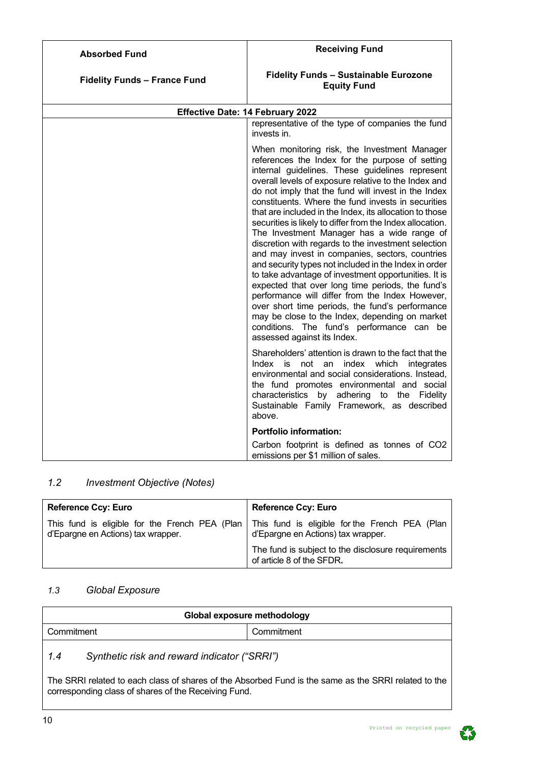| <b>Absorbed Fund</b>                | <b>Receiving Fund</b>                                                                                                                                                                                                                                                                                                                                                                                                                                                                                                                                                                                                                                                                                                                                                                                                                                                                                                                                                                                            |  |  |  |  |  |  |
|-------------------------------------|------------------------------------------------------------------------------------------------------------------------------------------------------------------------------------------------------------------------------------------------------------------------------------------------------------------------------------------------------------------------------------------------------------------------------------------------------------------------------------------------------------------------------------------------------------------------------------------------------------------------------------------------------------------------------------------------------------------------------------------------------------------------------------------------------------------------------------------------------------------------------------------------------------------------------------------------------------------------------------------------------------------|--|--|--|--|--|--|
| <b>Fidelity Funds - France Fund</b> | <b>Fidelity Funds - Sustainable Eurozone</b><br><b>Equity Fund</b>                                                                                                                                                                                                                                                                                                                                                                                                                                                                                                                                                                                                                                                                                                                                                                                                                                                                                                                                               |  |  |  |  |  |  |
|                                     | <b>Effective Date: 14 February 2022</b>                                                                                                                                                                                                                                                                                                                                                                                                                                                                                                                                                                                                                                                                                                                                                                                                                                                                                                                                                                          |  |  |  |  |  |  |
|                                     | representative of the type of companies the fund<br>invests in.                                                                                                                                                                                                                                                                                                                                                                                                                                                                                                                                                                                                                                                                                                                                                                                                                                                                                                                                                  |  |  |  |  |  |  |
|                                     | When monitoring risk, the Investment Manager<br>references the Index for the purpose of setting<br>internal guidelines. These guidelines represent<br>overall levels of exposure relative to the Index and<br>do not imply that the fund will invest in the Index<br>constituents. Where the fund invests in securities<br>that are included in the Index, its allocation to those<br>securities is likely to differ from the Index allocation.<br>The Investment Manager has a wide range of<br>discretion with regards to the investment selection<br>and may invest in companies, sectors, countries<br>and security types not included in the Index in order<br>to take advantage of investment opportunities. It is<br>expected that over long time periods, the fund's<br>performance will differ from the Index However,<br>over short time periods, the fund's performance<br>may be close to the Index, depending on market<br>conditions. The fund's performance can be<br>assessed against its Index. |  |  |  |  |  |  |
|                                     | Shareholders' attention is drawn to the fact that the<br>Index is not an index which integrates<br>environmental and social considerations. Instead,<br>the fund promotes environmental and social<br>characteristics by adhering to the Fidelity<br>Sustainable Family Framework, as described<br>above.                                                                                                                                                                                                                                                                                                                                                                                                                                                                                                                                                                                                                                                                                                        |  |  |  |  |  |  |
|                                     | <b>Portfolio information:</b>                                                                                                                                                                                                                                                                                                                                                                                                                                                                                                                                                                                                                                                                                                                                                                                                                                                                                                                                                                                    |  |  |  |  |  |  |
|                                     | Carbon footprint is defined as tonnes of CO2<br>emissions per \$1 million of sales.                                                                                                                                                                                                                                                                                                                                                                                                                                                                                                                                                                                                                                                                                                                                                                                                                                                                                                                              |  |  |  |  |  |  |

# <span id="page-9-0"></span>*1.2 Investment Objective (Notes)*

| <b>Reference Ccy: Euro</b>                                                           | <b>Reference Ccy: Euro</b>                                                           |  |  |  |  |  |
|--------------------------------------------------------------------------------------|--------------------------------------------------------------------------------------|--|--|--|--|--|
| This fund is eligible for the French PEA (Plan<br>d'Epargne en Actions) tax wrapper. | This fund is eligible for the French PEA (Plan<br>d'Epargne en Actions) tax wrapper. |  |  |  |  |  |
|                                                                                      | The fund is subject to the disclosure requirements<br>of article 8 of the SFDR.      |  |  |  |  |  |

# <span id="page-9-1"></span>*1.3 Global Exposure*

| Global exposure methodology |            |  |  |  |  |  |  |  |
|-----------------------------|------------|--|--|--|--|--|--|--|
| Commitment                  | Commitment |  |  |  |  |  |  |  |
|                             |            |  |  |  |  |  |  |  |

# <span id="page-9-2"></span>*1.4 Synthetic risk and reward indicator ("SRRI")*

<span id="page-9-3"></span>The SRRI related to each class of shares of the Absorbed Fund is the same as the SRRI related to the corresponding class of shares of the Receiving Fund.

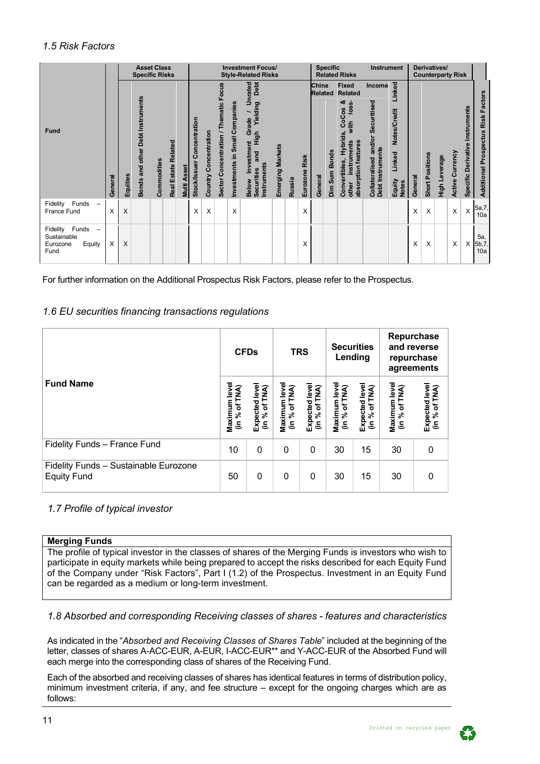# *1.5 Risk Factors*

|                                                             |          |          | <b>Specific Risks</b>                   | <b>Asset Class</b> |                     |                |                               |                       |                                               |                                | <b>Investment Focus/</b><br><b>Style-Related Risks</b>                                                                         |                  |        |                  | <b>Specific</b>                    |               | <b>Related Risks</b>                                                                                                                          | <b>Instrument</b>                                                  |                                                            |         |                        | Derivatives/<br><b>Counterparty Risk</b> |                        |                                    |                                              |
|-------------------------------------------------------------|----------|----------|-----------------------------------------|--------------------|---------------------|----------------|-------------------------------|-----------------------|-----------------------------------------------|--------------------------------|--------------------------------------------------------------------------------------------------------------------------------|------------------|--------|------------------|------------------------------------|---------------|-----------------------------------------------------------------------------------------------------------------------------------------------|--------------------------------------------------------------------|------------------------------------------------------------|---------|------------------------|------------------------------------------|------------------------|------------------------------------|----------------------------------------------|
| <b>Fund</b>                                                 | General  | Equities | <b>Bonds and other Debt Instruments</b> | Commodities        | Real Estate Related | Asset<br>Multi | Concentration<br>Stock/Issuer | Country Concentration | Focus<br>Thematic I<br>Sector Concentration / | Investments in Small Companies | Debt<br>Inrated<br>∍<br>Yielding<br>Grade<br>High<br>ent<br><b>Investm</b><br>and<br>Instruments<br><b>Securities</b><br>Below | Emerging Markets | Russia | Risk<br>Eurozone | China<br><b>Related</b><br>General | Dim Sum Bonds | <b>Fixed</b><br><b>Related</b><br>ೲ<br>loss-<br><b>CoCos</b><br>š<br>Hybrids,<br>absorption features<br>instruments<br>Convertibles,<br>other | Income<br>Securitised<br>Collateralised and/or<br>Debt Instruments | Linked<br>Notes/Credit<br>Linked<br>Equity<br><b>Notes</b> | General | <b>Short Positions</b> | High Leverage                            | <b>Active Currency</b> | Instruments<br>Specific Derivative | Risk Factors<br><b>Additional Prospectus</b> |
| Funds<br>Fidelity<br>France Fund                            | $\times$ | X        |                                         |                    |                     |                | X                             | X                     |                                               | X                              |                                                                                                                                |                  |        | X                |                                    |               |                                                                                                                                               |                                                                    |                                                            | X       | X                      |                                          | X                      | X                                  | 5a,7,<br>10a                                 |
| Fidelity Funds<br>Sustainable<br>Eurozone<br>Equity<br>Fund | X        | X        |                                         |                    |                     |                |                               |                       |                                               |                                |                                                                                                                                |                  |        | X                |                                    |               |                                                                                                                                               |                                                                    |                                                            | X       | X                      |                                          | X                      | X                                  | 5a,<br>5b,7,<br>10a                          |

For further information on the Additional Prospectus Risk Factors, please refer to the Prospectus.

# <span id="page-10-0"></span>*1.6 EU securities financing transactions regulations*

|                                                             | <b>CFDs</b>                   |                                   |                               | <b>TRS</b>                      |    | <b>Securities</b><br>Lending    | Repurchase<br>and reverse<br>repurchase<br>agreements |                                 |  |  |
|-------------------------------------------------------------|-------------------------------|-----------------------------------|-------------------------------|---------------------------------|----|---------------------------------|-------------------------------------------------------|---------------------------------|--|--|
| <b>Fund Name</b>                                            | Maximum leve<br>(in % of TNA) | Expected leve<br>TNA)<br>(in % of | Maximum leve<br>(in % of TNA) | Expected level<br>(in % of TNA) |    | Expected level<br>(in % of TNA) | Maximum level<br>(in % of TNA)                        | Expected level<br>(in % of TNA) |  |  |
| Fidelity Funds - France Fund                                | 10                            | 0                                 | 0                             | 0                               | 30 | 15                              | 30                                                    | 0                               |  |  |
| Fidelity Funds - Sustainable Eurozone<br><b>Equity Fund</b> | 50                            | 0                                 | 0                             | 0                               | 30 | 15                              | 30                                                    | 0                               |  |  |

## <span id="page-10-1"></span>*1.7 Profile of typical investor*

#### **Merging Funds**

The profile of typical investor in the classes of shares of the Merging Funds is investors who wish to participate in equity markets while being prepared to accept the risks described for each Equity Fund of the Company under "Risk Factors", Part I (1.2) of the Prospectus. Investment in an Equity Fund can be regarded as a medium or long-term investment.

## <span id="page-10-2"></span>*1.8 Absorbed and corresponding Receiving classes of shares - features and characteristics*

As indicated in the "*Absorbed and Receiving Classes of Shares Table*" included at the beginning of the letter, classes of shares A-ACC-EUR, A-EUR, I-ACC-EUR\*\* and Y-ACC-EUR of the Absorbed Fund will each merge into the corresponding class of shares of the Receiving Fund.

Each of the absorbed and receiving classes of shares has identical features in terms of distribution policy, minimum investment criteria, if any, and fee structure – except for the ongoing charges which are as follows:

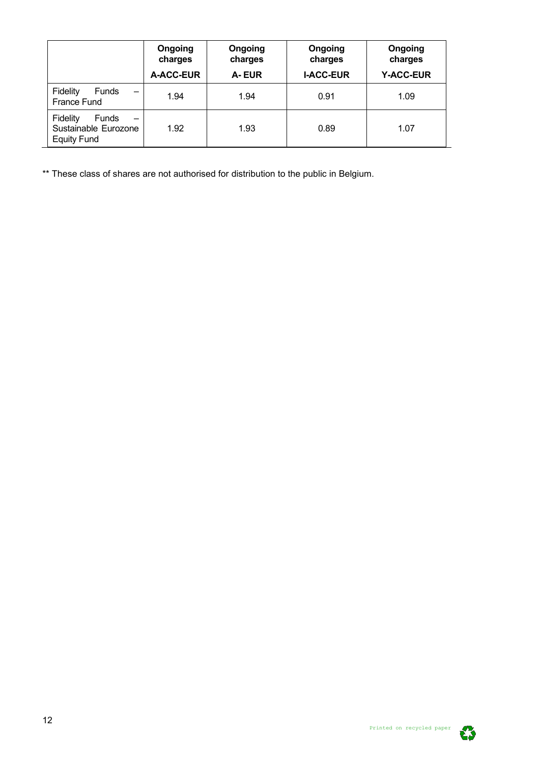|                                                                                           | Ongoing<br>charges<br>A-ACC-EUR | Ongoing<br>charges<br>A-EUR | Ongoing<br>charges<br><b>I-ACC-EUR</b> | Ongoing<br>charges<br><b>Y-ACC-EUR</b> |
|-------------------------------------------------------------------------------------------|---------------------------------|-----------------------------|----------------------------------------|----------------------------------------|
| Fidelity<br>Funds<br>$\overline{\phantom{0}}$<br>France Fund                              | 1.94                            | 1.94                        | 0.91                                   | 1.09                                   |
| Fidelity<br><b>Funds</b><br>$\qquad \qquad$<br>Sustainable Eurozone<br><b>Equity Fund</b> | 1.92                            | 1.93                        | 0.89                                   | 1.07                                   |

\*\* These class of shares are not authorised for distribution to the public in Belgium.

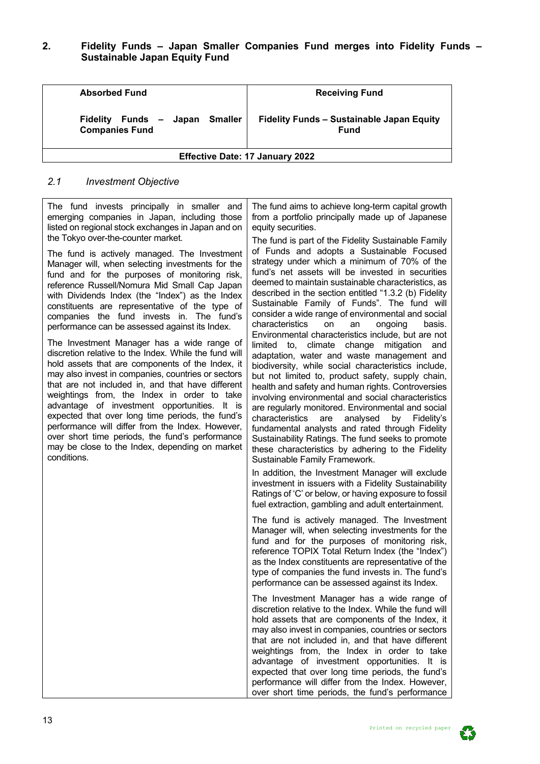## <span id="page-12-0"></span>**2. Fidelity Funds – Japan Smaller Companies Fund merges into Fidelity Funds – Sustainable Japan Equity Fund**

| <b>Absorbed Fund</b>                                    | <b>Receiving Fund</b>                                           |  |  |  |  |  |
|---------------------------------------------------------|-----------------------------------------------------------------|--|--|--|--|--|
| Fidelity Funds - Japan Smaller<br><b>Companies Fund</b> | <b>Fidelity Funds - Sustainable Japan Equity</b><br><b>Fund</b> |  |  |  |  |  |
| <b>Effective Date: 17 January 2022</b>                  |                                                                 |  |  |  |  |  |

#### <span id="page-12-1"></span>*2.1 Investment Objective*

The fund invests principally in smaller and emerging companies in Japan, including those listed on regional stock exchanges in Japan and on the Tokyo over-the-counter market.

The fund is actively managed. The Investment Manager will, when selecting investments for the fund and for the purposes of monitoring risk, reference Russell/Nomura Mid Small Cap Japan with Dividends Index (the "Index") as the Index constituents are representative of the type of companies the fund invests in. The fund's performance can be assessed against its Index.

The Investment Manager has a wide range of discretion relative to the Index. While the fund will hold assets that are components of the Index, it may also invest in companies, countries or sectors that are not included in, and that have different weightings from, the Index in order to take advantage of investment opportunities. It is expected that over long time periods, the fund's performance will differ from the Index. However, over short time periods, the fund's performance may be close to the Index, depending on market conditions.

The fund aims to achieve long-term capital growth from a portfolio principally made up of Japanese equity securities.

The fund is part of the Fidelity Sustainable Family of Funds and adopts a Sustainable Focused strategy under which a minimum of 70% of the fund's net assets will be invested in securities deemed to maintain sustainable characteristics, as described in the section entitled "1.3.2 (b) Fidelity Sustainable Family of Funds". The fund will consider a wide range of environmental and social characteristics Environmental characteristics include, but are not limited to, climate change mitigation and adaptation, water and waste management and biodiversity, while social characteristics include, but not limited to, product safety, supply chain, health and safety and human rights. Controversies involving environmental and social characteristics are regularly monitored. Environmental and social characteristics are analysed by Fidelity's fundamental analysts and rated through Fidelity Sustainability Ratings. The fund seeks to promote these characteristics by adhering to the Fidelity Sustainable Family Framework.

In addition, the Investment Manager will exclude investment in issuers with a Fidelity Sustainability Ratings of 'C' or below, or having exposure to fossil fuel extraction, gambling and adult entertainment.

The fund is actively managed. The Investment Manager will, when selecting investments for the fund and for the purposes of monitoring risk, reference TOPIX Total Return Index (the "Index") as the Index constituents are representative of the type of companies the fund invests in. The fund's performance can be assessed against its Index.

The Investment Manager has a wide range of discretion relative to the Index. While the fund will hold assets that are components of the Index, it may also invest in companies, countries or sectors that are not included in, and that have different weightings from, the Index in order to take advantage of investment opportunities. It is expected that over long time periods, the fund's performance will differ from the Index. However, over short time periods, the fund's performance

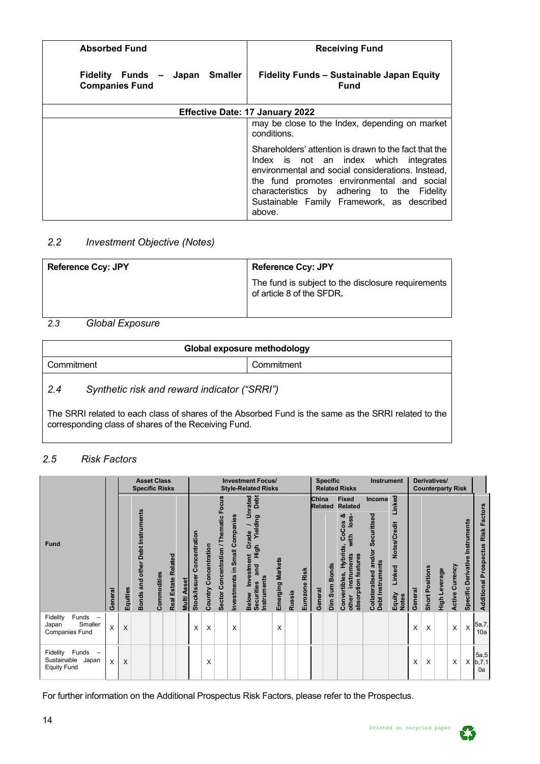| <b>Absorbed Fund</b>                                       | <b>Receiving Fund</b>                                                                                                                                                                                                                                                                                     |
|------------------------------------------------------------|-----------------------------------------------------------------------------------------------------------------------------------------------------------------------------------------------------------------------------------------------------------------------------------------------------------|
| Japan Smaller<br>Fidelity Funds –<br><b>Companies Fund</b> | <b>Fidelity Funds - Sustainable Japan Equity</b><br><b>Fund</b>                                                                                                                                                                                                                                           |
|                                                            | <b>Effective Date: 17 January 2022</b>                                                                                                                                                                                                                                                                    |
|                                                            | may be close to the Index, depending on market<br>conditions.                                                                                                                                                                                                                                             |
|                                                            | Shareholders' attention is drawn to the fact that the<br>Index is not an index which integrates<br>environmental and social considerations. Instead,<br>the fund promotes environmental and social<br>characteristics by adhering to the Fidelity<br>Sustainable Family Framework, as described<br>above. |

# <span id="page-13-0"></span>*2.2 Investment Objective (Notes)*

| <b>Reference Ccy: JPY</b>                                                                                                         | <b>Reference Ccy: JPY</b>                                                       |
|-----------------------------------------------------------------------------------------------------------------------------------|---------------------------------------------------------------------------------|
|                                                                                                                                   | The fund is subject to the disclosure requirements<br>of article 8 of the SFDR. |
| $\bigcap_{i=1}^{n}$ $\bigcup_{i=1}^{n}$ $\bigcap_{i=1}^{n}$ $\bigcap_{i=1}^{n}$ $\bigcap_{i=1}^{n}$ $\bigcap_{i=1}^{n}$<br>$\sim$ |                                                                                 |

## <span id="page-13-1"></span>*2.3 Global Exposure*

| Global exposure methodology |                                              |            |  |  |  |
|-----------------------------|----------------------------------------------|------------|--|--|--|
| Commitment                  |                                              | Commitment |  |  |  |
| 2.4                         | Synthetic risk and reward indicator ("SRRI") |            |  |  |  |

<span id="page-13-2"></span>The SRRI related to each class of shares of the Absorbed Fund is the same as the SRRI related to the corresponding class of shares of the Receiving Fund.

## <span id="page-13-3"></span>*2.5 Risk Factors*

|                                                                 |         |          | <b>Asset Class</b><br><b>Specific Risks</b> |             |                               |                       |                                   |                          |                                       |                                | <b>Investment Focus/</b><br><b>Style-Related Risks</b>                                                                                     |                  |               |                  |                                    | <b>Specific</b> | <b>Related Risks</b>                                                                                                                            | <b>Instrument</b>                                                     |                                                            |         |                 | Derivatives/<br><b>Counterparty Risk</b> |                    |                                              |                                    |
|-----------------------------------------------------------------|---------|----------|---------------------------------------------|-------------|-------------------------------|-----------------------|-----------------------------------|--------------------------|---------------------------------------|--------------------------------|--------------------------------------------------------------------------------------------------------------------------------------------|------------------|---------------|------------------|------------------------------------|-----------------|-------------------------------------------------------------------------------------------------------------------------------------------------|-----------------------------------------------------------------------|------------------------------------------------------------|---------|-----------------|------------------------------------------|--------------------|----------------------------------------------|------------------------------------|
| Fund                                                            | General | Equities | Bonds and other Debt Instruments            | Commodities | Related<br><b>Real Estate</b> | <b>Asset</b><br>Multi | oncentration<br>ပ<br>Stock/Issuer | Concentration<br>Country | Sector Concentration / Thematic Focus | Investments in Small Companies | Debt<br>Unrated<br>Yielding<br>$\overline{\phantom{0}}$<br>Grade<br>High<br>Investment<br>and<br>Instruments<br><b>Securities</b><br>Below | Emerging Markets | <b>Russia</b> | Risk<br>Eurozone | China<br><b>Related</b><br>General | Dim Sum Bonds   | <b>Fixed</b><br><b>Related</b><br>ఱ<br>loss-<br>80<br>ن<br>و<br>with<br>Hybrids,<br>absorption features<br>instruments<br>Convertibles<br>other | Income<br>Securitised<br>and/or<br>Debt Instruments<br>Collateralised | Linked<br>Notes/Credit<br>Linked<br>Equity<br><b>Notes</b> | General | Short Positions | High Leverage                            | Currency<br>Active | Instruments<br><b>Derivative</b><br>Specific | Additional Prospectus Risk Factors |
| Funds<br>Fidelity<br>Smaller<br>Japan<br>Companies Fund         | X       | X        |                                             |             |                               |                       | X                                 | X                        |                                       | X                              |                                                                                                                                            | X                |               |                  |                                    |                 |                                                                                                                                                 |                                                                       |                                                            | х       | X               |                                          | X                  | X                                            | 5a,7,<br>10a                       |
| Fidelity<br>Funds<br>Sustainable<br>Japan<br><b>Equity Fund</b> | x       | X        |                                             |             |                               |                       |                                   | X                        |                                       |                                |                                                                                                                                            |                  |               |                  |                                    |                 |                                                                                                                                                 |                                                                       |                                                            | X       | X               |                                          | X                  | X                                            | 5a, 5<br>b, 7, 1<br>0a             |

For further information on the Additional Prospectus Risk Factors, please refer to the Prospectus.

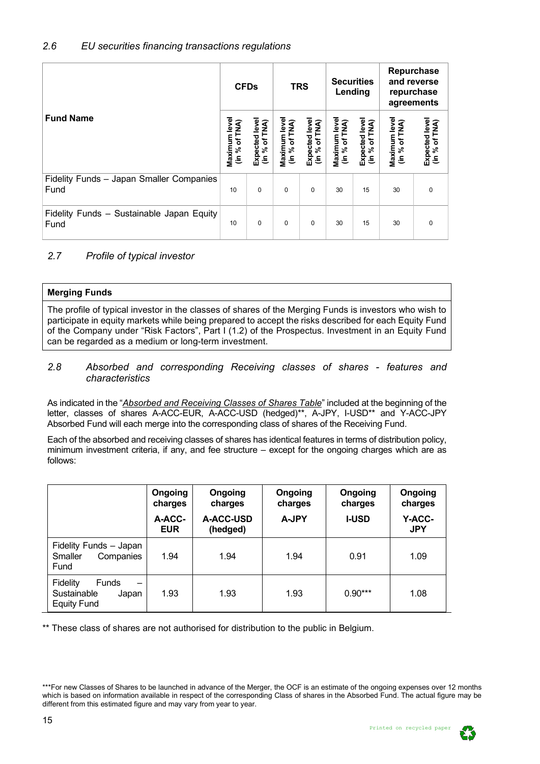<span id="page-14-0"></span>

|                                                   | <b>CFDs</b>                   |                                |                               | <b>TRS</b>                      |                               | <b>Securities</b><br>Lending                  | <b>Repurchase</b><br>and reverse<br>repurchase<br>agreements |                                 |  |
|---------------------------------------------------|-------------------------------|--------------------------------|-------------------------------|---------------------------------|-------------------------------|-----------------------------------------------|--------------------------------------------------------------|---------------------------------|--|
| <b>Fund Name</b>                                  | Maximum leve<br>(in % of TNA) | Expected leve<br>(in % of TNA) | Maximum leve<br>(in % of TNA) | Expected level<br>(in % of TNA) | Maximum leve<br>(in % of TNA) | Expected leve<br>of TNA)<br>న్<br>$\tilde{=}$ | Maximum level<br>of TNA)<br>$\lim_{\infty} \frac{1}{2}$      | Expected level<br>(in % of TNA) |  |
| Fidelity Funds - Japan Smaller Companies<br>Fund  | 10                            | $\mathbf 0$                    | $\Omega$                      | $\Omega$                        | 30                            | 15                                            | 30                                                           | 0                               |  |
| Fidelity Funds - Sustainable Japan Equity<br>Fund | 10                            | $\mathbf 0$                    | $\Omega$                      | $\Omega$                        | 30                            | 15                                            | 30                                                           | $\Omega$                        |  |

# <span id="page-14-1"></span>*2.7 Profile of typical investor*

| Merging Funds |                                                                         |
|---------------|-------------------------------------------------------------------------|
|               | The profile of typical investor in the classes of shares of the Merging |

The profile of typical investor in the classes of shares of the Merging Funds is investors who wish to participate in equity markets while being prepared to accept the risks described for each Equity Fund of the Company under "Risk Factors", Part I (1.2) of the Prospectus. Investment in an Equity Fund can be regarded as a medium or long-term investment.

## <span id="page-14-2"></span>*2.8 Absorbed and corresponding Receiving classes of shares - features and characteristics*

As indicated in the "*Absorbed and Receiving Classes of Shares Table*" included at the beginning of the letter, classes of shares A-ACC-EUR, A-ACC-USD (hedged)\*\*, A-JPY, I-USD\*\* and Y-ACC-JPY Absorbed Fund will each merge into the corresponding class of shares of the Receiving Fund.

Each of the absorbed and receiving classes of shares has identical features in terms of distribution policy, minimum investment criteria, if any, and fee structure – except for the ongoing charges which are as follows:

|                                                                                                           | Ongoing<br>charges<br>A-ACC-<br><b>EUR</b> | Ongoing<br>charges<br>A-ACC-USD<br>(hedged) | Ongoing<br>charges<br><b>A-JPY</b> | Ongoing<br>charges<br><b>I-USD</b> | Ongoing<br>charges<br>Y-ACC-<br><b>JPY</b> |
|-----------------------------------------------------------------------------------------------------------|--------------------------------------------|---------------------------------------------|------------------------------------|------------------------------------|--------------------------------------------|
| Fidelity Funds - Japan<br>Smaller<br>Companies<br>Fund                                                    | 1.94                                       | 1.94                                        | 1.94                               | 0.91                               | 1.09                                       |
| <b>Fidelity</b><br><b>Funds</b><br>$\overline{\phantom{0}}$<br>Sustainable<br>Japan<br><b>Equity Fund</b> | 1.93                                       | 1.93                                        | 1.93                               | $0.90***$                          | 1.08                                       |

\*\* These class of shares are not authorised for distribution to the public in Belgium.



<sup>\*\*\*</sup>For new Classes of Shares to be launched in advance of the Merger, the OCF is an estimate of the ongoing expenses over 12 months which is based on information available in respect of the corresponding Class of shares in the Absorbed Fund. The actual figure may be different from this estimated figure and may vary from year to year.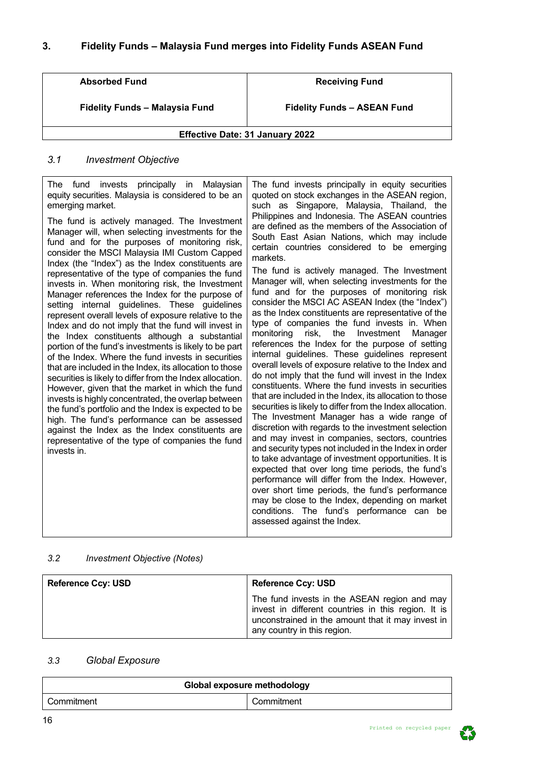<span id="page-15-0"></span>

| <b>Absorbed Fund</b>                   | <b>Receiving Fund</b>              |  |  |  |  |  |  |
|----------------------------------------|------------------------------------|--|--|--|--|--|--|
|                                        |                                    |  |  |  |  |  |  |
|                                        |                                    |  |  |  |  |  |  |
| Fidelity Funds - Malaysia Fund         | <b>Fidelity Funds - ASEAN Fund</b> |  |  |  |  |  |  |
|                                        |                                    |  |  |  |  |  |  |
|                                        |                                    |  |  |  |  |  |  |
| <b>Effective Date: 31 January 2022</b> |                                    |  |  |  |  |  |  |

## <span id="page-15-1"></span>*3.1 Investment Objective*

The fund invests principally in Malaysian equity securities. Malaysia is considered to be an emerging market.

The fund is actively managed. The Investment Manager will, when selecting investments for the fund and for the purposes of monitoring risk, consider the MSCI Malaysia IMI Custom Capped Index (the "Index") as the Index constituents are representative of the type of companies the fund invests in. When monitoring risk, the Investment Manager references the Index for the purpose of setting internal guidelines. These guidelines represent overall levels of exposure relative to the Index and do not imply that the fund will invest in the Index constituents although a substantial portion of the fund's investments is likely to be part of the Index. Where the fund invests in securities that are included in the Index, its allocation to those securities is likely to differ from the Index allocation. However, given that the market in which the fund invests is highly concentrated, the overlap between the fund's portfolio and the Index is expected to be high. The fund's performance can be assessed against the Index as the Index constituents are representative of the type of companies the fund invests in.

The fund invests principally in equity securities quoted on stock exchanges in the ASEAN region, such as Singapore, Malaysia, Thailand, the Philippines and Indonesia. The ASEAN countries are defined as the members of the Association of South East Asian Nations, which may include certain countries considered to be emerging markets.

The fund is actively managed. The Investment Manager will, when selecting investments for the fund and for the purposes of monitoring risk consider the MSCI AC ASEAN Index (the "Index") as the Index constituents are representative of the type of companies the fund invests in. When monitoring risk, the Investment Manager references the Index for the purpose of setting internal guidelines. These guidelines represent overall levels of exposure relative to the Index and do not imply that the fund will invest in the Index constituents. Where the fund invests in securities that are included in the Index, its allocation to those securities is likely to differ from the Index allocation. The Investment Manager has a wide range of discretion with regards to the investment selection and may invest in companies, sectors, countries and security types not included in the Index in order to take advantage of investment opportunities. It is expected that over long time periods, the fund's performance will differ from the Index. However, over short time periods, the fund's performance may be close to the Index, depending on market conditions. The fund's performance can be assessed against the Index.

## <span id="page-15-2"></span>*3.2 Investment Objective (Notes)*

| <b>Reference Ccy: USD</b> | <b>Reference Ccy: USD</b>                                                                                                                                                               |
|---------------------------|-----------------------------------------------------------------------------------------------------------------------------------------------------------------------------------------|
|                           | The fund invests in the ASEAN region and may<br>invest in different countries in this region. It is<br>unconstrained in the amount that it may invest in<br>any country in this region. |

## <span id="page-15-3"></span>*3.3 Global Exposure*

| Global exposure methodology |            |  |  |  |
|-----------------------------|------------|--|--|--|
| Commitment                  | Commitment |  |  |  |

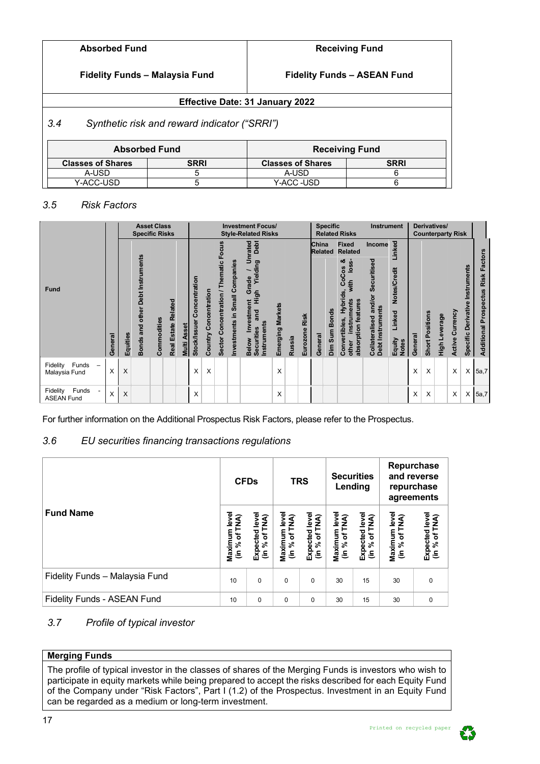# **Fidelity Funds – Malaysia Fund**

**Fidelity Funds – ASEAN Fund**

# **Effective Date: 31 January 2022**

## <span id="page-16-0"></span>*3.4 Synthetic risk and reward indicator ("SRRI")*

|                          | <b>Absorbed Fund</b> | <b>Receiving Fund</b>    |             |  |  |  |  |  |
|--------------------------|----------------------|--------------------------|-------------|--|--|--|--|--|
| <b>Classes of Shares</b> | <b>SRRI</b>          | <b>Classes of Shares</b> | <b>SRRI</b> |  |  |  |  |  |
| A-USD                    |                      | A-USD                    |             |  |  |  |  |  |
| Y-ACC-USD                |                      | Y-ACC -USD               |             |  |  |  |  |  |

## <span id="page-16-1"></span>*3.5 Risk Factors*

|                                                                |         |          | <b>Specific Risks</b>               | <b>Asset Class</b> |                               |                       |                               |                       |                                              |                                | <b>Investment Focus/</b><br><b>Style-Related Risks</b>                                                    |                            |               |                         | <b>Specific</b>                    | <b>Related Risks</b>                                                                                                    | Instrument                                                  |                                                  |         | Derivatives/<br><b>Counterparty Risk</b> |               |                        |                                       |                                                     |
|----------------------------------------------------------------|---------|----------|-------------------------------------|--------------------|-------------------------------|-----------------------|-------------------------------|-----------------------|----------------------------------------------|--------------------------------|-----------------------------------------------------------------------------------------------------------|----------------------------|---------------|-------------------------|------------------------------------|-------------------------------------------------------------------------------------------------------------------------|-------------------------------------------------------------|--------------------------------------------------|---------|------------------------------------------|---------------|------------------------|---------------------------------------|-----------------------------------------------------|
|                                                                |         |          |                                     |                    |                               |                       |                               |                       | Focus                                        |                                | Debt<br>rated                                                                                             |                            |               |                         | China<br><b>Related</b>            | <b>Fixed</b><br><b>Related</b>                                                                                          | Income                                                      | Linked                                           |         |                                          |               |                        |                                       |                                                     |
| <b>Fund</b>                                                    | General | Equities | and other Debt Instruments<br>Bonds | Commodities        | Related<br><b>Real Estate</b> | <b>Asset</b><br>Multi | Concentration<br>Stock/Issuer | Country Concentration | Thematic<br>Concentration /<br><b>Sector</b> | Investments in Small Companies | Ŝ<br>Yielding<br>Grade<br>High<br>estment<br>and<br>Instruments<br><u>š</u><br>Securities<br><b>Below</b> | <b>Markets</b><br>Emerging | <b>Russia</b> | <b>Risk</b><br>Eurozone | <b>Bonds</b><br>Dim Sum<br>General | ఱ<br>$\frac{8}{10}$<br>80<br>CoC<br>with<br>Hybrids,<br>features<br>instruments<br>Convertibles,<br>absorption<br>other | Securitised<br>and/or<br>Debt Instruments<br>Collateralised | Notes/Credit<br>Linked<br>Equity<br><b>Notes</b> | General | Short Positions                          | High Leverage | urrency<br>ပ<br>Active | Instruments<br>Derivative<br>Specific | <b>Risk Factors</b><br><b>Additional Prospectus</b> |
| Funds<br>Fidelity<br>$\overline{\phantom{a}}$<br>Malaysia Fund | X       | Χ        |                                     |                    |                               |                       | X                             | X                     |                                              |                                |                                                                                                           | X                          |               |                         |                                    |                                                                                                                         |                                                             |                                                  | X       | X                                        |               | X                      | X                                     | 5a,7                                                |
| Funds<br>Fidelity<br><b>ASEAN Fund</b>                         | X       | Χ        |                                     |                    |                               |                       | X                             |                       |                                              |                                |                                                                                                           | X                          |               |                         |                                    |                                                                                                                         |                                                             |                                                  | X       | X                                        |               | X                      | X                                     | 5a,7                                                |

For further information on the Additional Prospectus Risk Factors, please refer to the Prospectus.

# <span id="page-16-2"></span>*3.6 EU securities financing transactions regulations*

|                                | <b>CFDs</b>                   |                                 |                               | <b>TRS</b>                      | <b>Securities</b>              | Lending                                                         | Repurchase<br>and reverse<br>repurchase<br>agreements |                                 |  |
|--------------------------------|-------------------------------|---------------------------------|-------------------------------|---------------------------------|--------------------------------|-----------------------------------------------------------------|-------------------------------------------------------|---------------------------------|--|
| <b>Fund Name</b>               | Maximum leve<br>(in % of TNA) | Expected level<br>(in % of TNA) | Maximum leve<br>(in % of TNA) | Expected level<br>(in % of TNA) | Maximum level<br>(in % of TNA) | Expected level<br>(in % of TNA)<br>$\mathbf{r}$<br>$\mathbf{r}$ | Maximum level<br>of TNA)<br>$\lim_{k \to \infty}$     | Expected level<br>(in % of TNA) |  |
| Fidelity Funds - Malaysia Fund | 10                            | $\mathbf 0$                     | $\Omega$                      | 0                               | 30                             | 15                                                              | 30                                                    | $\mathbf 0$                     |  |
| Fidelity Funds - ASEAN Fund    | 10                            | $\Omega$                        | $\Omega$                      | $\Omega$                        | 30                             | 15                                                              | 30                                                    | $\mathbf 0$                     |  |

# <span id="page-16-3"></span>*3.7 Profile of typical investor*

## **Merging Funds**

The profile of typical investor in the classes of shares of the Merging Funds is investors who wish to participate in equity markets while being prepared to accept the risks described for each Equity Fund of the Company under "Risk Factors", Part I (1.2) of the Prospectus. Investment in an Equity Fund can be regarded as a medium or long-term investment.



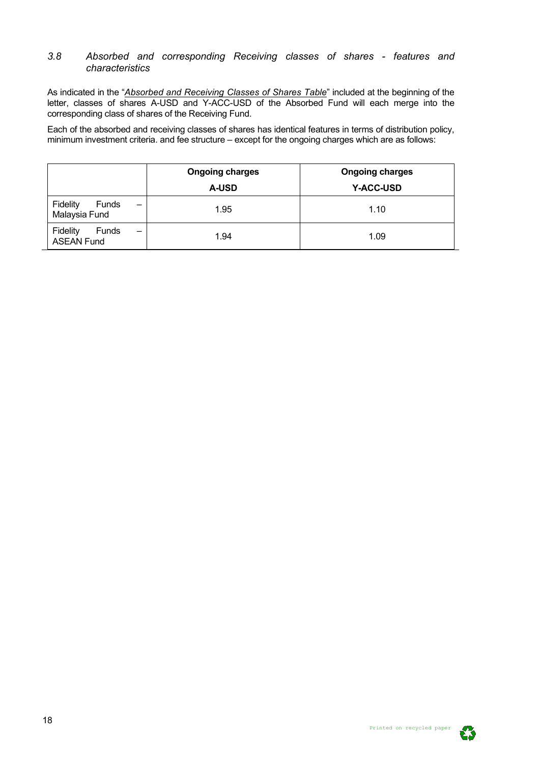#### <span id="page-17-0"></span>*3.8 Absorbed and corresponding Receiving classes of shares - features and characteristics*

As indicated in the "*Absorbed and Receiving Classes of Shares Table*" included at the beginning of the letter, classes of shares A-USD and Y-ACC-USD of the Absorbed Fund will each merge into the corresponding class of shares of the Receiving Fund.

Each of the absorbed and receiving classes of shares has identical features in terms of distribution policy, minimum investment criteria. and fee structure – except for the ongoing charges which are as follows:

|                                                                           | <b>Ongoing charges</b><br><b>A-USD</b> | <b>Ongoing charges</b><br><b>Y-ACC-USD</b> |
|---------------------------------------------------------------------------|----------------------------------------|--------------------------------------------|
| Fidelity<br>Funds<br>$\qquad \qquad \longleftarrow$<br>Malaysia Fund      | 1.95                                   | 1.10                                       |
| Fidelity<br><b>Funds</b><br>$\overline{\phantom{m}}$<br><b>ASEAN Fund</b> | 1.94                                   | 1.09                                       |

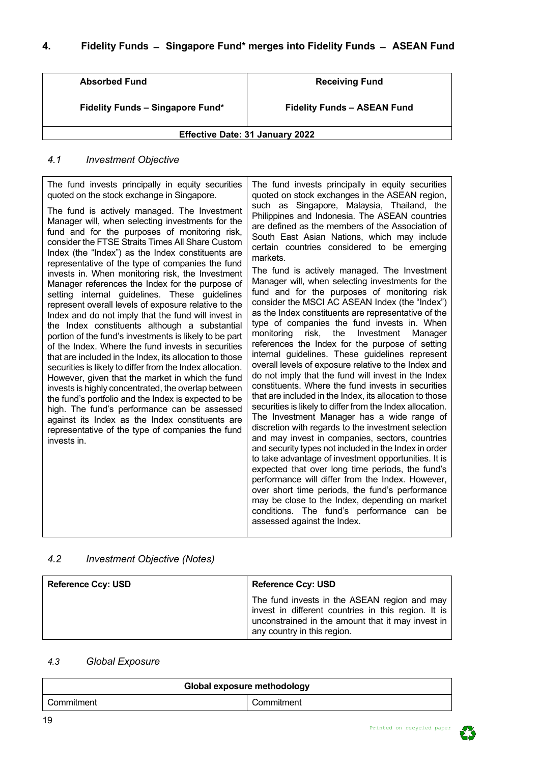<span id="page-18-0"></span>

| <b>Absorbed Fund</b>                    | <b>Receiving Fund</b>              |  |  |  |  |  |  |  |
|-----------------------------------------|------------------------------------|--|--|--|--|--|--|--|
| <b>Fidelity Funds - Singapore Fund*</b> | <b>Fidelity Funds - ASEAN Fund</b> |  |  |  |  |  |  |  |
| <b>Effective Date: 31 January 2022</b>  |                                    |  |  |  |  |  |  |  |

# <span id="page-18-1"></span>*4.1 Investment Objective*

| The fund invests principally in equity securities<br>quoted on the stock exchange in Singapore.<br>The fund is actively managed. The Investment<br>Manager will, when selecting investments for the<br>fund and for the purposes of monitoring risk,<br>consider the FTSE Straits Times All Share Custom<br>Index (the "Index") as the Index constituents are<br>representative of the type of companies the fund<br>invests in. When monitoring risk, the Investment<br>Manager references the Index for the purpose of<br>setting internal guidelines. These guidelines<br>represent overall levels of exposure relative to the<br>Index and do not imply that the fund will invest in<br>the Index constituents although a substantial<br>portion of the fund's investments is likely to be part<br>of the Index. Where the fund invests in securities<br>that are included in the Index, its allocation to those<br>securities is likely to differ from the Index allocation.<br>However, given that the market in which the fund<br>invests is highly concentrated, the overlap between<br>the fund's portfolio and the Index is expected to be<br>high. The fund's performance can be assessed<br>against its Index as the Index constituents are<br>representative of the type of companies the fund<br>invests in. | The fund invests principally in equity securities<br>quoted on stock exchanges in the ASEAN region,<br>such as Singapore, Malaysia, Thailand, the<br>Philippines and Indonesia. The ASEAN countries<br>are defined as the members of the Association of<br>South East Asian Nations, which may include<br>certain countries considered to be emerging<br>markets.<br>The fund is actively managed. The Investment<br>Manager will, when selecting investments for the<br>fund and for the purposes of monitoring risk<br>consider the MSCI AC ASEAN Index (the "Index")<br>as the Index constituents are representative of the<br>type of companies the fund invests in. When<br>monitoring<br>risk,<br>the<br>Investment<br>Manager<br>references the Index for the purpose of setting<br>internal guidelines. These guidelines represent<br>overall levels of exposure relative to the Index and<br>do not imply that the fund will invest in the Index<br>constituents. Where the fund invests in securities<br>that are included in the Index, its allocation to those<br>securities is likely to differ from the Index allocation.<br>The Investment Manager has a wide range of<br>discretion with regards to the investment selection<br>and may invest in companies, sectors, countries<br>and security types not included in the Index in order<br>to take advantage of investment opportunities. It is<br>expected that over long time periods, the fund's<br>performance will differ from the Index. However,<br>over short time periods, the fund's performance<br>may be close to the Index, depending on market<br>conditions. The fund's performance can be<br>assessed against the Index. |
|----------------------------------------------------------------------------------------------------------------------------------------------------------------------------------------------------------------------------------------------------------------------------------------------------------------------------------------------------------------------------------------------------------------------------------------------------------------------------------------------------------------------------------------------------------------------------------------------------------------------------------------------------------------------------------------------------------------------------------------------------------------------------------------------------------------------------------------------------------------------------------------------------------------------------------------------------------------------------------------------------------------------------------------------------------------------------------------------------------------------------------------------------------------------------------------------------------------------------------------------------------------------------------------------------------------------------|-----------------------------------------------------------------------------------------------------------------------------------------------------------------------------------------------------------------------------------------------------------------------------------------------------------------------------------------------------------------------------------------------------------------------------------------------------------------------------------------------------------------------------------------------------------------------------------------------------------------------------------------------------------------------------------------------------------------------------------------------------------------------------------------------------------------------------------------------------------------------------------------------------------------------------------------------------------------------------------------------------------------------------------------------------------------------------------------------------------------------------------------------------------------------------------------------------------------------------------------------------------------------------------------------------------------------------------------------------------------------------------------------------------------------------------------------------------------------------------------------------------------------------------------------------------------------------------------------------------------------------------------------------------------------------------------------------------|
|----------------------------------------------------------------------------------------------------------------------------------------------------------------------------------------------------------------------------------------------------------------------------------------------------------------------------------------------------------------------------------------------------------------------------------------------------------------------------------------------------------------------------------------------------------------------------------------------------------------------------------------------------------------------------------------------------------------------------------------------------------------------------------------------------------------------------------------------------------------------------------------------------------------------------------------------------------------------------------------------------------------------------------------------------------------------------------------------------------------------------------------------------------------------------------------------------------------------------------------------------------------------------------------------------------------------------|-----------------------------------------------------------------------------------------------------------------------------------------------------------------------------------------------------------------------------------------------------------------------------------------------------------------------------------------------------------------------------------------------------------------------------------------------------------------------------------------------------------------------------------------------------------------------------------------------------------------------------------------------------------------------------------------------------------------------------------------------------------------------------------------------------------------------------------------------------------------------------------------------------------------------------------------------------------------------------------------------------------------------------------------------------------------------------------------------------------------------------------------------------------------------------------------------------------------------------------------------------------------------------------------------------------------------------------------------------------------------------------------------------------------------------------------------------------------------------------------------------------------------------------------------------------------------------------------------------------------------------------------------------------------------------------------------------------|

# <span id="page-18-2"></span>*4.2 Investment Objective (Notes)*

| <b>Reference Ccy: USD</b> | <b>Reference Ccy: USD</b>                                                                                                                                                               |
|---------------------------|-----------------------------------------------------------------------------------------------------------------------------------------------------------------------------------------|
|                           | The fund invests in the ASEAN region and may<br>invest in different countries in this region. It is<br>unconstrained in the amount that it may invest in<br>any country in this region. |

# <span id="page-18-3"></span>*4.3 Global Exposure*

| Global exposure methodology |            |  |  |  |  |  |  |  |  |  |
|-----------------------------|------------|--|--|--|--|--|--|--|--|--|
| Commitment                  | Commitment |  |  |  |  |  |  |  |  |  |

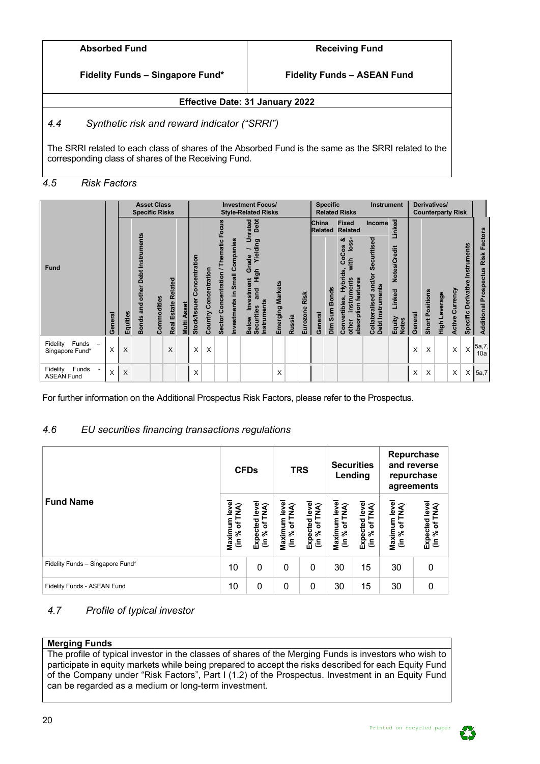| <b>Absorbed Fund</b> |  |
|----------------------|--|
|----------------------|--|

**Fidelity Funds – Singapore Fund\***

**Fidelity Funds – ASEAN Fund**

# **Effective Date: 31 January 2022**

# <span id="page-19-0"></span>*4.4 Synthetic risk and reward indicator ("SRRI")*

The SRRI related to each class of shares of the Absorbed Fund is the same as the SRRI related to the corresponding class of shares of the Receiving Fund.

## <span id="page-19-1"></span>*4.5 Risk Factors*

|                                        |         |          | <b>Specific Risks</b>               | <b>Asset Class</b> |                                      |                       |                                          | <b>Investment Focus/</b><br><b>Style-Related Risks</b> |                                       |                                   |                                                                                            | <b>Specific</b>            | <b>Related Risks</b> | Instrument       |                          | Derivatives/<br><b>Counterparty Risk</b>                                                                                              |                                                             |                                                  |         |                 |               |                        |                                       |                                                     |
|----------------------------------------|---------|----------|-------------------------------------|--------------------|--------------------------------------|-----------------------|------------------------------------------|--------------------------------------------------------|---------------------------------------|-----------------------------------|--------------------------------------------------------------------------------------------|----------------------------|----------------------|------------------|--------------------------|---------------------------------------------------------------------------------------------------------------------------------------|-------------------------------------------------------------|--------------------------------------------------|---------|-----------------|---------------|------------------------|---------------------------------------|-----------------------------------------------------|
|                                        |         |          |                                     |                    |                                      |                       |                                          |                                                        | Focus                                 |                                   | Debt<br>Unrated                                                                            |                            |                      |                  | China<br><b>Related</b>  | <b>Fixed</b><br><b>Related</b>                                                                                                        | Income                                                      | Linked                                           |         |                 |               |                        |                                       |                                                     |
| Fund                                   | General | Equities | and other Debt Instruments<br>Bonds | Commodities        | <b>Related</b><br><b>Real Estate</b> | <b>Asset</b><br>Multi | oncentration<br>ပ<br><b>Stock/Issuer</b> | Country Concentration                                  | Thematic<br>╮<br>Sector Concentration | Small Companies<br>Investments in | Yielding<br>Grade<br>High<br>E<br>estm<br>and<br>Instruments<br>Securities<br><b>Below</b> | <b>Markets</b><br>Emerging | <b>Russia</b>        | Risk<br>Eurozone | Dim Sum Bonds<br>General | య<br>ທ່<br>ဗိ<br>$\tilde{\mathbf{e}}$<br>ပ္ပိ<br>with<br>Hybrids,<br>ption features<br>instruments<br>Convertibles,<br>absor<br>other | Securitised<br>and/or<br>Debt Instruments<br>Collateralised | Notes/Credit<br>Linked<br>Equity<br><b>Notes</b> | General | Short Positions | High Leverage | urrency<br>ပ<br>Active | Instruments<br>Derivative<br>Specific | <b>Risk Factors</b><br><b>Additional Prospectus</b> |
| Funds<br>Fidelity<br>Singapore Fund*   | X       | X        |                                     |                    | X                                    |                       | X                                        | X                                                      |                                       |                                   |                                                                                            |                            |                      |                  |                          |                                                                                                                                       |                                                             |                                                  | X       | $\times$        |               | X                      | X                                     | 5a,7,<br>10a                                        |
| Funds<br>Fidelity<br><b>ASEAN Fund</b> | X       | X        |                                     |                    |                                      |                       | X                                        |                                                        |                                       |                                   |                                                                                            | X                          |                      |                  |                          |                                                                                                                                       |                                                             |                                                  | Χ       | X               |               | X                      | X                                     | 5a,7                                                |

For further information on the Additional Prospectus Risk Factors, please refer to the Prospectus.

# <span id="page-19-2"></span>*4.6 EU securities financing transactions regulations*

|                                  |                               | <b>CFDs</b>                                        |                                | <b>TRS</b>                                    |                                         | <b>Securities</b><br>Lending    | Repurchase<br>and reverse<br>repurchase<br>agreements |                                 |  |  |
|----------------------------------|-------------------------------|----------------------------------------------------|--------------------------------|-----------------------------------------------|-----------------------------------------|---------------------------------|-------------------------------------------------------|---------------------------------|--|--|
| <b>Fund Name</b>                 | Maximum leve<br>(in % of TNA) | Expected leve<br>$%$ of TNA)<br>$\tilde{\epsilon}$ | Maximum level<br>(in % of TNA) | Expected level<br>TNA)<br>% of<br>$\tilde{=}$ | Maximum leve<br><b>TNA</b><br>% of<br>٤ | Expected level<br>(in % of TNA) | Maximum level<br>of TNA)<br>$\frac{96}{10}$           | Expected level<br>(in % of TNA) |  |  |
| Fidelity Funds - Singapore Fund* | 10                            | $\mathbf{0}$                                       | 0                              | 0                                             | 30                                      | 15                              | 30                                                    | 0                               |  |  |
| Fidelity Funds - ASEAN Fund      | 10                            | $\mathbf{0}$                                       | 0                              | 0                                             | 30                                      | 15                              | 30                                                    | 0                               |  |  |

# <span id="page-19-3"></span>*4.7 Profile of typical investor*

## **Merging Funds**

The profile of typical investor in the classes of shares of the Merging Funds is investors who wish to participate in equity markets while being prepared to accept the risks described for each Equity Fund of the Company under "Risk Factors", Part I (1.2) of the Prospectus. Investment in an Equity Fund can be regarded as a medium or long-term investment.

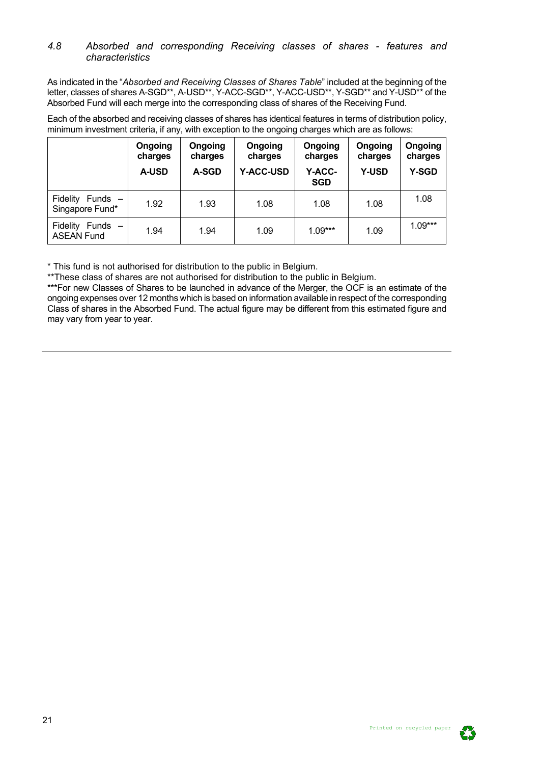### <span id="page-20-0"></span>*4.8 Absorbed and corresponding Receiving classes of shares - features and characteristics*

As indicated in the "*Absorbed and Receiving Classes of Shares Table*" included at the beginning of the letter, classes of shares A-SGD\*\*, A-USD\*\*, Y-ACC-SGD\*\*, Y-ACC-USD\*\*, Y-SGD\*\* and Y-USD\*\* of the Absorbed Fund will each merge into the corresponding class of shares of the Receiving Fund.

Each of the absorbed and receiving classes of shares has identical features in terms of distribution policy, minimum investment criteria, if any, with exception to the ongoing charges which are as follows:

|                                                 | Ongoing<br>charges<br><b>A-USD</b> | Ongoing<br>charges<br><b>A-SGD</b> | Ongoing<br>charges<br><b>Y-ACC-USD</b> | Ongoing<br>charges<br>Y-ACC-<br><b>SGD</b> | Ongoing<br>charges<br><b>Y-USD</b> | Ongoing<br>charges<br><b>Y-SGD</b> |
|-------------------------------------------------|------------------------------------|------------------------------------|----------------------------------------|--------------------------------------------|------------------------------------|------------------------------------|
| <b>Fidelity</b><br>Funds $-$<br>Singapore Fund* | 1.92                               | 1.93                               | 1.08                                   | 1.08                                       | 1.08                               | 1.08                               |
| Fidelity<br>Funds $-$<br><b>ASEAN Fund</b>      | 1.94                               | 1.94                               | 1.09                                   | $1.09***$                                  | 1.09                               | $1.09***$                          |

\* This fund is not authorised for distribution to the public in Belgium.

\*\*These class of shares are not authorised for distribution to the public in Belgium.

\*\*\*For new Classes of Shares to be launched in advance of the Merger, the OCF is an estimate of the ongoing expenses over 12 months which is based on information available in respect of the corresponding Class of shares in the Absorbed Fund. The actual figure may be different from this estimated figure and may vary from year to year.

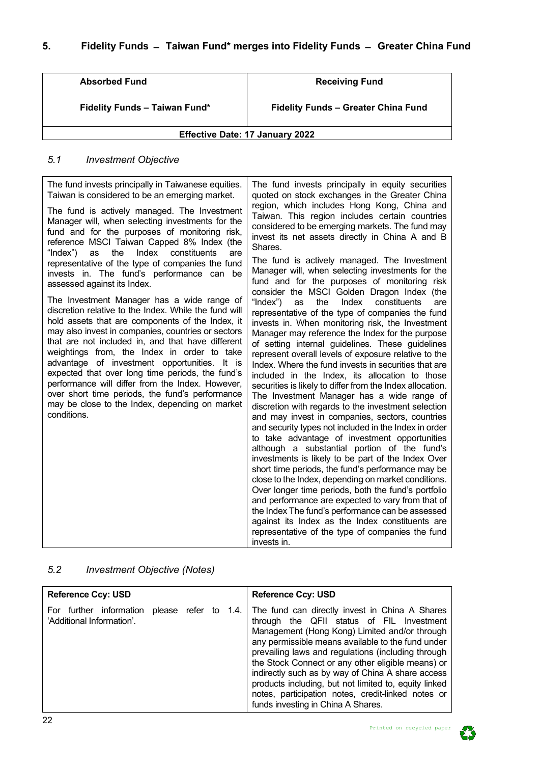<span id="page-21-0"></span>

| <b>Absorbed Fund</b>                   | <b>Receiving Fund</b>                      |  |  |  |  |  |
|----------------------------------------|--------------------------------------------|--|--|--|--|--|
| <b>Fidelity Funds - Taiwan Fund*</b>   | <b>Fidelity Funds - Greater China Fund</b> |  |  |  |  |  |
| <b>Effective Date: 17 January 2022</b> |                                            |  |  |  |  |  |

# <span id="page-21-1"></span>*5.1 Investment Objective*

| The fund invests principally in Taiwanese equities.                                                                                                                                                                                                                                                                                                                                                                                                                                                                                                                                           | The fund invests principally in equity securities                                                                                                                                                                                                                                                                                                                                                                                                                                                                                                                                                                                                                                                                                                                                                                                                                                                                                                                                                                                                                                                                                                                                                                                                                                                                           |
|-----------------------------------------------------------------------------------------------------------------------------------------------------------------------------------------------------------------------------------------------------------------------------------------------------------------------------------------------------------------------------------------------------------------------------------------------------------------------------------------------------------------------------------------------------------------------------------------------|-----------------------------------------------------------------------------------------------------------------------------------------------------------------------------------------------------------------------------------------------------------------------------------------------------------------------------------------------------------------------------------------------------------------------------------------------------------------------------------------------------------------------------------------------------------------------------------------------------------------------------------------------------------------------------------------------------------------------------------------------------------------------------------------------------------------------------------------------------------------------------------------------------------------------------------------------------------------------------------------------------------------------------------------------------------------------------------------------------------------------------------------------------------------------------------------------------------------------------------------------------------------------------------------------------------------------------|
| Taiwan is considered to be an emerging market.                                                                                                                                                                                                                                                                                                                                                                                                                                                                                                                                                | quoted on stock exchanges in the Greater China                                                                                                                                                                                                                                                                                                                                                                                                                                                                                                                                                                                                                                                                                                                                                                                                                                                                                                                                                                                                                                                                                                                                                                                                                                                                              |
| The fund is actively managed. The Investment<br>Manager will, when selecting investments for the<br>fund and for the purposes of monitoring risk,<br>reference MSCI Taiwan Capped 8% Index (the<br>the<br>Index<br>"Index")<br>as<br>constituents<br>are                                                                                                                                                                                                                                                                                                                                      | region, which includes Hong Kong, China and<br>Taiwan. This region includes certain countries<br>considered to be emerging markets. The fund may<br>invest its net assets directly in China A and B<br>Shares.                                                                                                                                                                                                                                                                                                                                                                                                                                                                                                                                                                                                                                                                                                                                                                                                                                                                                                                                                                                                                                                                                                              |
| representative of the type of companies the fund                                                                                                                                                                                                                                                                                                                                                                                                                                                                                                                                              | The fund is actively managed. The Investment                                                                                                                                                                                                                                                                                                                                                                                                                                                                                                                                                                                                                                                                                                                                                                                                                                                                                                                                                                                                                                                                                                                                                                                                                                                                                |
| invests in. The fund's performance can be                                                                                                                                                                                                                                                                                                                                                                                                                                                                                                                                                     | Manager will, when selecting investments for the                                                                                                                                                                                                                                                                                                                                                                                                                                                                                                                                                                                                                                                                                                                                                                                                                                                                                                                                                                                                                                                                                                                                                                                                                                                                            |
| assessed against its Index.                                                                                                                                                                                                                                                                                                                                                                                                                                                                                                                                                                   | fund and for the purposes of monitoring risk                                                                                                                                                                                                                                                                                                                                                                                                                                                                                                                                                                                                                                                                                                                                                                                                                                                                                                                                                                                                                                                                                                                                                                                                                                                                                |
| The Investment Manager has a wide range of<br>discretion relative to the Index. While the fund will<br>hold assets that are components of the Index, it<br>may also invest in companies, countries or sectors<br>that are not included in, and that have different<br>weightings from, the Index in order to take<br>advantage of investment opportunities. It is<br>expected that over long time periods, the fund's<br>performance will differ from the Index. However,<br>over short time periods, the fund's performance<br>may be close to the Index, depending on market<br>conditions. | consider the MSCI Golden Dragon Index (the<br>"Index")<br>the<br>Index<br>constituents<br>as<br>are<br>representative of the type of companies the fund<br>invests in. When monitoring risk, the Investment<br>Manager may reference the Index for the purpose<br>of setting internal guidelines. These guidelines<br>represent overall levels of exposure relative to the<br>Index. Where the fund invests in securities that are<br>included in the Index, its allocation to those<br>securities is likely to differ from the Index allocation.<br>The Investment Manager has a wide range of<br>discretion with regards to the investment selection<br>and may invest in companies, sectors, countries<br>and security types not included in the Index in order<br>to take advantage of investment opportunities<br>although a substantial portion of the fund's<br>investments is likely to be part of the Index Over<br>short time periods, the fund's performance may be<br>close to the Index, depending on market conditions.<br>Over longer time periods, both the fund's portfolio<br>and performance are expected to vary from that of<br>the Index The fund's performance can be assessed<br>against its Index as the Index constituents are<br>representative of the type of companies the fund<br>invests in. |

# <span id="page-21-2"></span>*5.2 Investment Objective (Notes)*

| <b>Reference Ccy: USD</b>                                  |                      |  | <b>Reference Ccy: USD</b>                                                                                                                                                                                                                                                                                                                                                                                                                                                                                              |
|------------------------------------------------------------|----------------------|--|------------------------------------------------------------------------------------------------------------------------------------------------------------------------------------------------------------------------------------------------------------------------------------------------------------------------------------------------------------------------------------------------------------------------------------------------------------------------------------------------------------------------|
| information<br>For<br>further<br>'Additional Information'. | please refer to 1.4. |  | The fund can directly invest in China A Shares<br>through the QFII status of FIL Investment<br>Management (Hong Kong) Limited and/or through<br>any permissible means available to the fund under<br>prevailing laws and regulations (including through<br>the Stock Connect or any other eligible means) or<br>indirectly such as by way of China A share access<br>products including, but not limited to, equity linked<br>notes, participation notes, credit-linked notes or<br>funds investing in China A Shares. |

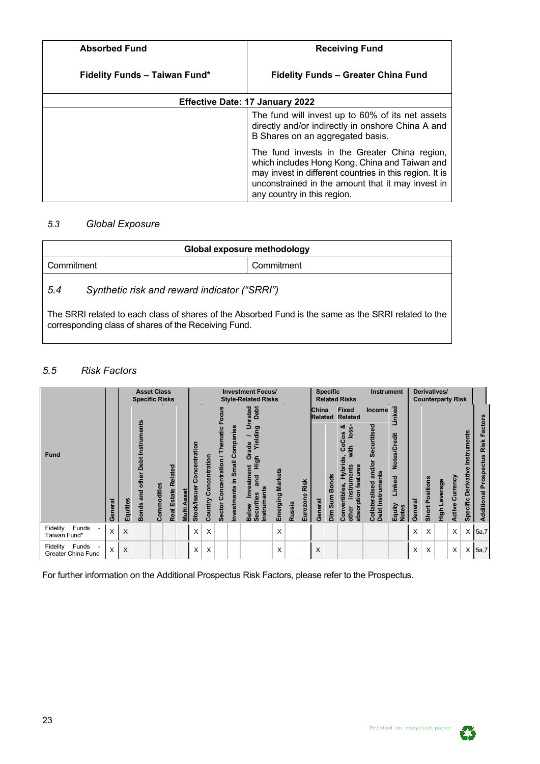| <b>Absorbed Fund</b>                 | <b>Receiving Fund</b>                                                                                                                                                                                                                          |  |  |  |  |  |  |
|--------------------------------------|------------------------------------------------------------------------------------------------------------------------------------------------------------------------------------------------------------------------------------------------|--|--|--|--|--|--|
| <b>Fidelity Funds - Taiwan Fund*</b> | <b>Fidelity Funds - Greater China Fund</b>                                                                                                                                                                                                     |  |  |  |  |  |  |
|                                      | <b>Effective Date: 17 January 2022</b>                                                                                                                                                                                                         |  |  |  |  |  |  |
|                                      | The fund will invest up to 60% of its net assets<br>directly and/or indirectly in onshore China A and<br>B Shares on an aggregated basis.                                                                                                      |  |  |  |  |  |  |
|                                      | The fund invests in the Greater China region,<br>which includes Hong Kong, China and Taiwan and<br>may invest in different countries in this region. It is<br>unconstrained in the amount that it may invest in<br>any country in this region. |  |  |  |  |  |  |

# <span id="page-22-0"></span>*5.3 Global Exposure*

<span id="page-22-1"></span>corresponding class of shares of the Receiving Fund.

| Global exposure methodology                                                                          |  |  |  |  |  |
|------------------------------------------------------------------------------------------------------|--|--|--|--|--|
| Commitment<br>Commitment                                                                             |  |  |  |  |  |
| Synthetic risk and reward indicator ("SRRI")<br>5.4                                                  |  |  |  |  |  |
| The SRRI related to each class of shares of the Absorbed Fund is the same as the SRRI related to the |  |  |  |  |  |

## <span id="page-22-2"></span>*5.5 Risk Factors*

|                                         |         |          | <b>Specific Risks</b>               | <b>Asset Class</b> |                               |                       |                                          |                          |                                           |                                | <b>Investment Focus/</b><br><b>Style-Related Risks</b>                                                                        |                            |               |                  | <b>Specific</b>                |                         | <b>Related Risks</b>                                                                                      | <b>Instrument</b>                                           |                                                        |         |                        | Derivatives/<br><b>Counterparty Risk</b> |                 |                                |                                                 |
|-----------------------------------------|---------|----------|-------------------------------------|--------------------|-------------------------------|-----------------------|------------------------------------------|--------------------------|-------------------------------------------|--------------------------------|-------------------------------------------------------------------------------------------------------------------------------|----------------------------|---------------|------------------|--------------------------------|-------------------------|-----------------------------------------------------------------------------------------------------------|-------------------------------------------------------------|--------------------------------------------------------|---------|------------------------|------------------------------------------|-----------------|--------------------------------|-------------------------------------------------|
|                                         |         |          |                                     |                    |                               |                       |                                          |                          |                                           |                                | Debt<br>rated                                                                                                                 |                            |               |                  | <b>China</b><br><b>Related</b> |                         | <b>Fixed</b><br><b>Related</b>                                                                            | Income                                                      | Linked                                                 |         |                        |                                          |                 |                                |                                                 |
| <b>Fund</b>                             | General | Equities | and other Debt Instruments<br>Bonds | Commodities        | Related<br><b>Real Estate</b> | <b>Asset</b><br>Multi | oncentration<br>ပ<br><b>Stock/Issuer</b> | Concentration<br>Country | entration / Thematic Focus<br>Sector Conc | Investments in Small Companies | ∍<br>Yielding<br>$\frac{e}{\sigma}$<br>Ğ<br>High<br>ent<br><b>Investm</b><br>and<br>Instruments<br>Securities<br><b>Below</b> | <b>Markets</b><br>Emerging | <b>Russia</b> | Risk<br>Eurozone | General                        | <b>Bonds</b><br>Dim Sum | ఱ<br>CoCos<br><u>ە</u><br>vith<br>Hybrids<br>absorption features<br>instruments<br>Convertibles,<br>other | Securitised<br>and/or<br>Debt Instruments<br>Collateralised | Notes/Credit<br>Linked<br>Equity<br>Notes <sup>-</sup> | General | <b>Short Positions</b> | <b>Leverage</b><br>High                  | Active Currency | ents<br>Derivative<br>Specific | Factors<br>Risk<br><b>Additional Prospectus</b> |
| Funds<br>Fidelity<br>Taiwan Fund*       | X       | X        |                                     |                    |                               |                       | X                                        | X                        |                                           |                                |                                                                                                                               | X                          |               |                  |                                |                         |                                                                                                           |                                                             |                                                        | X       | X                      |                                          | X               | X                              | 5a,7                                            |
| Funds<br>Fidelity<br>Greater China Fund | X       | X        |                                     |                    |                               |                       | X                                        | X                        |                                           |                                |                                                                                                                               | X                          |               |                  | X                              |                         |                                                                                                           |                                                             |                                                        | X       | X                      |                                          | X               | X                              | 5a,7                                            |

For further information on the Additional Prospectus Risk Factors, please refer to the Prospectus.

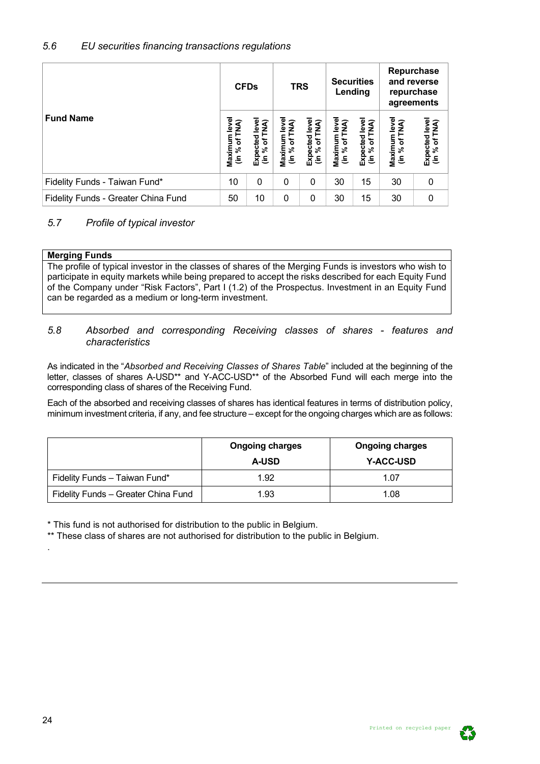# <span id="page-23-0"></span>*5.6 EU securities financing transactions regulations*

|                                     |                                             | <b>CFDs</b>                    |                               | <b>TRS</b>                                        |                                | <b>Securities</b><br>Lending    | and reverse                    | Repurchase<br>repurchase<br>agreements |
|-------------------------------------|---------------------------------------------|--------------------------------|-------------------------------|---------------------------------------------------|--------------------------------|---------------------------------|--------------------------------|----------------------------------------|
| <b>Fund Name</b>                    | level<br>of TNA)<br>Maximum  <br>(in % of T | Expected leve<br>(in % of TNA) | Maximum leve<br>(in % of TNA) | Expected leve<br>of TNA)<br>$\lim_{k \to \infty}$ | Maximum level<br>(in % of TNA) | Expected level<br>(in % of TNA) | Maximum level<br>(in % of TNA) | Expected level<br>(in % of TNA)        |
| Fidelity Funds - Taiwan Fund*       | 10                                          | 0                              | 0                             | 0                                                 | 30                             | 15                              | 30                             | 0                                      |
| Fidelity Funds - Greater China Fund | 50                                          | 10                             | 0                             | 0                                                 | 30                             | 15                              | 30                             | 0                                      |

# <span id="page-23-1"></span>*5.7 Profile of typical investor*

| <b>Merging Funds</b> |  |
|----------------------|--|

The profile of typical investor in the classes of shares of the Merging Funds is investors who wish to participate in equity markets while being prepared to accept the risks described for each Equity Fund of the Company under "Risk Factors", Part I (1.2) of the Prospectus. Investment in an Equity Fund can be regarded as a medium or long-term investment.

## <span id="page-23-2"></span>*5.8 Absorbed and corresponding Receiving classes of shares - features and characteristics*

As indicated in the "*Absorbed and Receiving Classes of Shares Table*" included at the beginning of the letter, classes of shares A-USD<sup>\*\*</sup> and Y-ACC-USD<sup>\*\*</sup> of the Absorbed Fund will each merge into the corresponding class of shares of the Receiving Fund.

Each of the absorbed and receiving classes of shares has identical features in terms of distribution policy, minimum investment criteria, if any, and fee structure – except for the ongoing charges which are as follows:

|                                     | <b>Ongoing charges</b><br><b>A-USD</b> | <b>Ongoing charges</b><br><b>Y-ACC-USD</b> |
|-------------------------------------|----------------------------------------|--------------------------------------------|
| Fidelity Funds - Taiwan Fund*       | 1.92                                   | 1.07                                       |
| Fidelity Funds - Greater China Fund | 1.93                                   | 1.08                                       |

\* This fund is not authorised for distribution to the public in Belgium.

\*\* These class of shares are not authorised for distribution to the public in Belgium.

.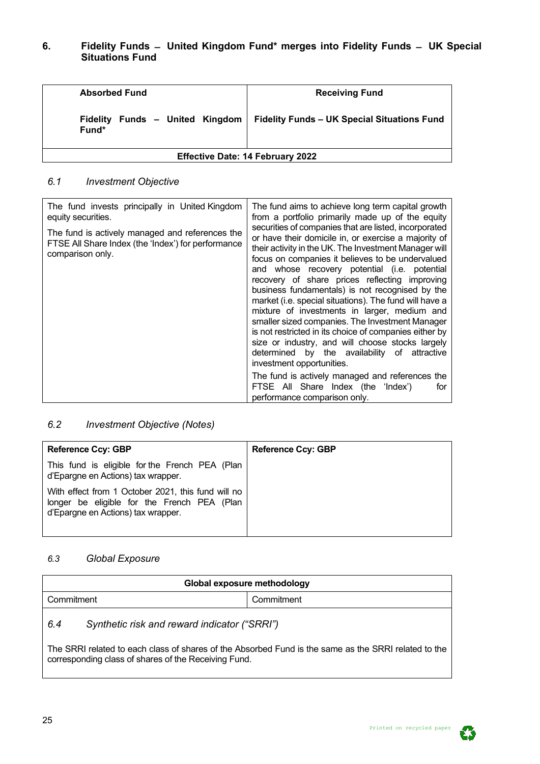# <span id="page-24-0"></span>**6. Fidelity Funds ̶ United Kingdom Fund\* merges into Fidelity Funds ̶ UK Special Situations Fund**

| <b>Absorbed Fund</b>                     | <b>Receiving Fund</b>                              |  |  |  |  |
|------------------------------------------|----------------------------------------------------|--|--|--|--|
| Fidelity Funds - United Kingdom<br>Fund* | <b>Fidelity Funds - UK Special Situations Fund</b> |  |  |  |  |
| <b>Effective Date: 14 February 2022</b>  |                                                    |  |  |  |  |

# <span id="page-24-1"></span>*6.1 Investment Objective*

| The fund invests principally in United Kingdom<br>equity securities.                                                      | The fund aims to achieve long term capital growth<br>from a portfolio primarily made up of the equity<br>securities of companies that are listed, incorporated                                                                                                                                                                                                                                                                                                                                                                                                                                                                                                                                                                   |
|---------------------------------------------------------------------------------------------------------------------------|----------------------------------------------------------------------------------------------------------------------------------------------------------------------------------------------------------------------------------------------------------------------------------------------------------------------------------------------------------------------------------------------------------------------------------------------------------------------------------------------------------------------------------------------------------------------------------------------------------------------------------------------------------------------------------------------------------------------------------|
| The fund is actively managed and references the<br>FTSE All Share Index (the 'Index') for performance<br>comparison only. | or have their domicile in, or exercise a majority of<br>their activity in the UK. The Investment Manager will<br>focus on companies it believes to be undervalued<br>and whose recovery potential (i.e. potential<br>recovery of share prices reflecting improving<br>business fundamentals) is not recognised by the<br>market (i.e. special situations). The fund will have a<br>mixture of investments in larger, medium and<br>smaller sized companies. The Investment Manager<br>is not restricted in its choice of companies either by<br>size or industry, and will choose stocks largely<br>determined by the availability of attractive<br>investment opportunities.<br>The fund is actively managed and references the |
|                                                                                                                           | FTSE All Share Index (the 'Index')<br>for<br>performance comparison only.                                                                                                                                                                                                                                                                                                                                                                                                                                                                                                                                                                                                                                                        |

# <span id="page-24-2"></span>*6.2 Investment Objective (Notes)*

| <b>Reference Ccy: GBP</b>                                                                                                               | <b>Reference Ccy: GBP</b> |
|-----------------------------------------------------------------------------------------------------------------------------------------|---------------------------|
| This fund is eligible for the French PEA (Plan<br>d'Epargne en Actions) tax wrapper.                                                    |                           |
| With effect from 1 October 2021, this fund will no<br>longer be eligible for the French PEA (Plan<br>d'Epargne en Actions) tax wrapper. |                           |

## <span id="page-24-3"></span>*6.3 Global Exposure*

<span id="page-24-4"></span>

| Global exposure methodology                                                                                                                                  |  |  |  |  |  |  |  |  |  |  |
|--------------------------------------------------------------------------------------------------------------------------------------------------------------|--|--|--|--|--|--|--|--|--|--|
| Commitment<br>Commitment                                                                                                                                     |  |  |  |  |  |  |  |  |  |  |
| Synthetic risk and reward indicator ("SRRI")<br>6.4                                                                                                          |  |  |  |  |  |  |  |  |  |  |
| The SRRI related to each class of shares of the Absorbed Fund is the same as the SRRI related to the<br>corresponding class of shares of the Receiving Fund. |  |  |  |  |  |  |  |  |  |  |

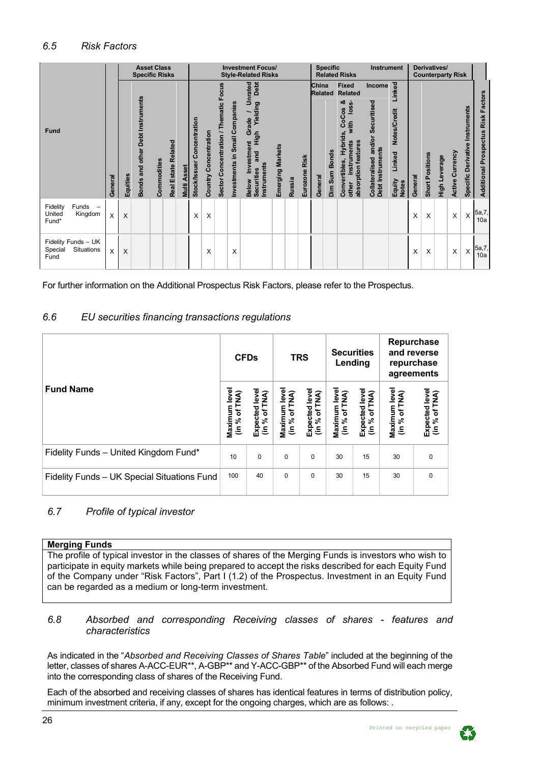<span id="page-25-0"></span>

|                                                      |         |          | <b>Specific Risks</b>            | <b>Asset Class</b> |                     |                        |                               |                       |                                          |                                | <b>Investment Focus/</b><br><b>Style-Related Risks</b>                                                             |                  |        |                  |                                    | <b>Specific</b> | <b>Related Risks</b>                                                                                                                      | <b>Instrument</b>                                                  |                                                            | Derivatives/<br><b>Counterparty Risk</b> |                        |               |                 |                                    |                                    |
|------------------------------------------------------|---------|----------|----------------------------------|--------------------|---------------------|------------------------|-------------------------------|-----------------------|------------------------------------------|--------------------------------|--------------------------------------------------------------------------------------------------------------------|------------------|--------|------------------|------------------------------------|-----------------|-------------------------------------------------------------------------------------------------------------------------------------------|--------------------------------------------------------------------|------------------------------------------------------------|------------------------------------------|------------------------|---------------|-----------------|------------------------------------|------------------------------------|
| Fund                                                 | General | Equities | Bonds and other Debt Instruments | Commodities        | Real Estate Related | <b>Asset</b><br>Multi. | Concentration<br>Stock/Issuer | Country Concentration | Focus<br>Sector Concentration / Thematic | Investments in Small Companies | Debt<br>nrated<br>∍<br>Yielding<br>Grade<br>figh<br>Investment<br>and<br>Instruments<br><b>Securities</b><br>Below | Emerging Markets | Russia | Risk<br>Eurozone | China<br><b>Related</b><br>General | Dim Sum Bonds   | <b>Fixed</b><br><b>Related</b><br>ಯ<br>loss-<br>CoCos<br>with<br>Hybrids,<br>absorption features<br>instruments<br>Convertibles,<br>other | Income<br>Securitised<br>Collateralised and/or<br>Debt Instruments | Linked<br>Notes/Credit<br>Linked<br>Equity<br><b>Notes</b> | General                                  | <b>Short Positions</b> | High Leverage | Active Currency | Instruments<br>Specific Derivative | Additional Prospectus Risk Factors |
| Funds<br>Fidelity<br>Kingdom<br>United<br>Fund*      | X       | X        |                                  |                    |                     |                        | X                             | X                     |                                          |                                |                                                                                                                    |                  |        |                  |                                    |                 |                                                                                                                                           |                                                                    |                                                            | X                                        | X                      |               | X               | X                                  | 5a,7,<br>10a                       |
| Fidelity Funds - UK<br>Situations<br>Special<br>Fund | X       | X        |                                  |                    |                     |                        |                               | X                     |                                          | X                              |                                                                                                                    |                  |        |                  |                                    |                 |                                                                                                                                           |                                                                    |                                                            | X                                        | X                      |               | X               | X                                  | 5a,7,<br>10a                       |

For further information on the Additional Prospectus Risk Factors, please refer to the Prospectus.

## <span id="page-25-1"></span>*6.6 EU securities financing transactions regulations*

|                                             |                               | <b>CFDs</b>                    |                                | <b>TRS</b>                      |                                | <b>Securities</b><br>Lending    | Repurchase<br>and reverse<br>repurchase<br>agreements |                                 |  |
|---------------------------------------------|-------------------------------|--------------------------------|--------------------------------|---------------------------------|--------------------------------|---------------------------------|-------------------------------------------------------|---------------------------------|--|
| <b>Fund Name</b>                            | Maximum leve<br>(in % of TNA) | Expected leve<br>(in % of TNA) | Maximum level<br>(in % of TNA) | Expected level<br>(in % of TNA) | Maximum leve<br>% of TNA)<br>ξ | Expected level<br>(in % of TNA) | Maximum level<br>(in % of TNA)                        | Expected level<br>(in % of TNA) |  |
| Fidelity Funds - United Kingdom Fund*       | 10                            | 0                              | $\Omega$                       | $\Omega$                        | 30                             | 15                              | 30                                                    | 0                               |  |
| Fidelity Funds - UK Special Situations Fund | 100                           | 40                             | $\Omega$                       | $\Omega$                        | 30                             | 15                              | 30                                                    | $\Omega$                        |  |

# <span id="page-25-2"></span>*6.7 Profile of typical investor*

## **Merging Funds**

The profile of typical investor in the classes of shares of the Merging Funds is investors who wish to participate in equity markets while being prepared to accept the risks described for each Equity Fund of the Company under "Risk Factors", Part I (1.2) of the Prospectus. Investment in an Equity Fund can be regarded as a medium or long-term investment.

#### <span id="page-25-3"></span>*6.8 Absorbed and corresponding Receiving classes of shares - features and characteristics*

As indicated in the "*Absorbed and Receiving Classes of Shares Table*" included at the beginning of the letter, classes of shares A-ACC-EUR\*\*, A-GBP\*\* and Y-ACC-GBP\*\* of the Absorbed Fund will each merge into the corresponding class of shares of the Receiving Fund.

Each of the absorbed and receiving classes of shares has identical features in terms of distribution policy, minimum investment criteria, if any, except for the ongoing charges, which are as follows: .